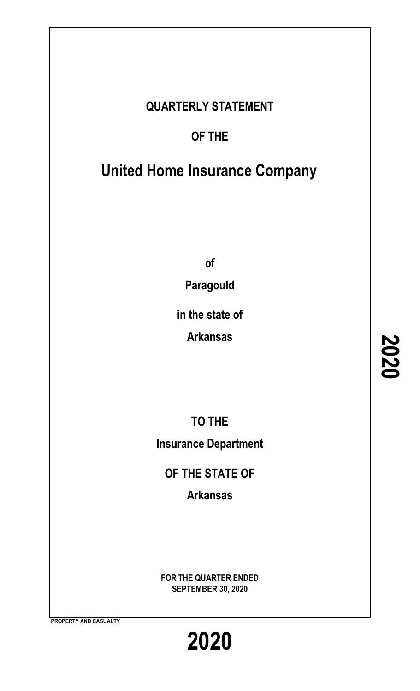# **QUARTERLY STATEMENT**

# **OF THE**

# **United Home Insurance Company**

**of**

**Paragould**

**in the state of**

**Arkansas**

**TO THE Insurance Department**

**OF THE STATE OF**

**Arkansas**

**FOR THE QUARTER ENDED SEPTEMBER 30, 2020**

**PROPERTY AND CASUALTY**

**2020**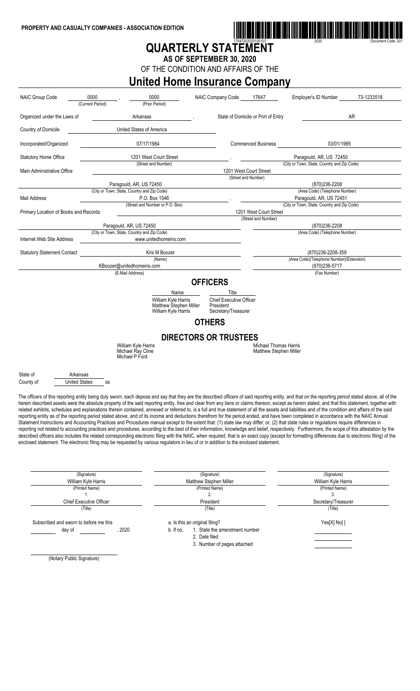

# **QUARTERLY STATEMENT**

**AS OF SEPTEMBER 30, 2020**

OF THE CONDITION AND AFFAIRS OF THE

**United Home Insurance Company**

| NAIC Group Code                       | 0000<br>(Current Period)   | 0000<br>(Prior Period)                                                                                                                                                                                                                                                                                                                                                                                                                                                                                                                                                                                                                                                                                                                                                                                                                                                                                                                                                                                                                                                                                                                                                                                                                                                                                                                                                                                                                                                                                                                                     | NAIC Company Code                                                  | 17647                                                         | Employer's ID Number                            | 73-1233518 |
|---------------------------------------|----------------------------|------------------------------------------------------------------------------------------------------------------------------------------------------------------------------------------------------------------------------------------------------------------------------------------------------------------------------------------------------------------------------------------------------------------------------------------------------------------------------------------------------------------------------------------------------------------------------------------------------------------------------------------------------------------------------------------------------------------------------------------------------------------------------------------------------------------------------------------------------------------------------------------------------------------------------------------------------------------------------------------------------------------------------------------------------------------------------------------------------------------------------------------------------------------------------------------------------------------------------------------------------------------------------------------------------------------------------------------------------------------------------------------------------------------------------------------------------------------------------------------------------------------------------------------------------------|--------------------------------------------------------------------|---------------------------------------------------------------|-------------------------------------------------|------------|
| Organized under the Laws of           |                            | Arkansas                                                                                                                                                                                                                                                                                                                                                                                                                                                                                                                                                                                                                                                                                                                                                                                                                                                                                                                                                                                                                                                                                                                                                                                                                                                                                                                                                                                                                                                                                                                                                   |                                                                    | State of Domicile or Port of Entry                            |                                                 | AR         |
| Country of Domicile                   |                            | United States of America                                                                                                                                                                                                                                                                                                                                                                                                                                                                                                                                                                                                                                                                                                                                                                                                                                                                                                                                                                                                                                                                                                                                                                                                                                                                                                                                                                                                                                                                                                                                   |                                                                    |                                                               |                                                 |            |
| Incorporated/Organized                |                            | 07/17/1984                                                                                                                                                                                                                                                                                                                                                                                                                                                                                                                                                                                                                                                                                                                                                                                                                                                                                                                                                                                                                                                                                                                                                                                                                                                                                                                                                                                                                                                                                                                                                 |                                                                    | <b>Commenced Business</b>                                     | 03/01/1985                                      |            |
| <b>Statutory Home Office</b>          |                            | 1201 West Court Street                                                                                                                                                                                                                                                                                                                                                                                                                                                                                                                                                                                                                                                                                                                                                                                                                                                                                                                                                                                                                                                                                                                                                                                                                                                                                                                                                                                                                                                                                                                                     |                                                                    |                                                               | Paragould, AR, US 72450                         |            |
| Main Administrative Office            |                            | (Street and Number)                                                                                                                                                                                                                                                                                                                                                                                                                                                                                                                                                                                                                                                                                                                                                                                                                                                                                                                                                                                                                                                                                                                                                                                                                                                                                                                                                                                                                                                                                                                                        |                                                                    | 1201 West Court Street                                        | (City or Town, State, Country and Zip Code)     |            |
|                                       |                            |                                                                                                                                                                                                                                                                                                                                                                                                                                                                                                                                                                                                                                                                                                                                                                                                                                                                                                                                                                                                                                                                                                                                                                                                                                                                                                                                                                                                                                                                                                                                                            |                                                                    | (Street and Number)                                           |                                                 |            |
|                                       |                            | Paragould, AR, US 72450                                                                                                                                                                                                                                                                                                                                                                                                                                                                                                                                                                                                                                                                                                                                                                                                                                                                                                                                                                                                                                                                                                                                                                                                                                                                                                                                                                                                                                                                                                                                    |                                                                    |                                                               | (870)236-2208                                   |            |
|                                       |                            | (City or Town, State, Country and Zip Code)                                                                                                                                                                                                                                                                                                                                                                                                                                                                                                                                                                                                                                                                                                                                                                                                                                                                                                                                                                                                                                                                                                                                                                                                                                                                                                                                                                                                                                                                                                                |                                                                    |                                                               | (Area Code) (Telephone Number)                  |            |
| <b>Mail Address</b>                   |                            | P.O. Box 1546                                                                                                                                                                                                                                                                                                                                                                                                                                                                                                                                                                                                                                                                                                                                                                                                                                                                                                                                                                                                                                                                                                                                                                                                                                                                                                                                                                                                                                                                                                                                              |                                                                    |                                                               | Paragould, AR, US 72451                         |            |
| (Street and Number or P.O. Box)       |                            |                                                                                                                                                                                                                                                                                                                                                                                                                                                                                                                                                                                                                                                                                                                                                                                                                                                                                                                                                                                                                                                                                                                                                                                                                                                                                                                                                                                                                                                                                                                                                            |                                                                    |                                                               | (City or Town, State, Country and Zip Code)     |            |
| Primary Location of Books and Records |                            |                                                                                                                                                                                                                                                                                                                                                                                                                                                                                                                                                                                                                                                                                                                                                                                                                                                                                                                                                                                                                                                                                                                                                                                                                                                                                                                                                                                                                                                                                                                                                            |                                                                    | 1201 West Court Street                                        |                                                 |            |
|                                       |                            |                                                                                                                                                                                                                                                                                                                                                                                                                                                                                                                                                                                                                                                                                                                                                                                                                                                                                                                                                                                                                                                                                                                                                                                                                                                                                                                                                                                                                                                                                                                                                            |                                                                    | (Street and Number)                                           |                                                 |            |
|                                       |                            | Paragould, AR, US 72450<br>(City or Town, State, Country and Zip Code)                                                                                                                                                                                                                                                                                                                                                                                                                                                                                                                                                                                                                                                                                                                                                                                                                                                                                                                                                                                                                                                                                                                                                                                                                                                                                                                                                                                                                                                                                     |                                                                    |                                                               | (870)236-2208<br>(Area Code) (Telephone Number) |            |
| Internet Web Site Address             |                            | www.unitedhomeins.com                                                                                                                                                                                                                                                                                                                                                                                                                                                                                                                                                                                                                                                                                                                                                                                                                                                                                                                                                                                                                                                                                                                                                                                                                                                                                                                                                                                                                                                                                                                                      |                                                                    |                                                               |                                                 |            |
|                                       |                            |                                                                                                                                                                                                                                                                                                                                                                                                                                                                                                                                                                                                                                                                                                                                                                                                                                                                                                                                                                                                                                                                                                                                                                                                                                                                                                                                                                                                                                                                                                                                                            |                                                                    |                                                               |                                                 |            |
| <b>Statutory Statement Contact</b>    |                            | Kris M Boozer                                                                                                                                                                                                                                                                                                                                                                                                                                                                                                                                                                                                                                                                                                                                                                                                                                                                                                                                                                                                                                                                                                                                                                                                                                                                                                                                                                                                                                                                                                                                              |                                                                    |                                                               | (870)236-2208-359                               |            |
|                                       |                            | (Name)                                                                                                                                                                                                                                                                                                                                                                                                                                                                                                                                                                                                                                                                                                                                                                                                                                                                                                                                                                                                                                                                                                                                                                                                                                                                                                                                                                                                                                                                                                                                                     |                                                                    |                                                               | (Area Code)(Telephone Number)(Extension)        |            |
|                                       |                            | KBoozer@unitedhomeins.com                                                                                                                                                                                                                                                                                                                                                                                                                                                                                                                                                                                                                                                                                                                                                                                                                                                                                                                                                                                                                                                                                                                                                                                                                                                                                                                                                                                                                                                                                                                                  |                                                                    |                                                               | (870)236-5717                                   |            |
|                                       |                            | (E-Mail Address)                                                                                                                                                                                                                                                                                                                                                                                                                                                                                                                                                                                                                                                                                                                                                                                                                                                                                                                                                                                                                                                                                                                                                                                                                                                                                                                                                                                                                                                                                                                                           |                                                                    |                                                               | (Fax Number)                                    |            |
|                                       |                            |                                                                                                                                                                                                                                                                                                                                                                                                                                                                                                                                                                                                                                                                                                                                                                                                                                                                                                                                                                                                                                                                                                                                                                                                                                                                                                                                                                                                                                                                                                                                                            | <b>OFFICERS</b>                                                    |                                                               |                                                 |            |
|                                       |                            | Name                                                                                                                                                                                                                                                                                                                                                                                                                                                                                                                                                                                                                                                                                                                                                                                                                                                                                                                                                                                                                                                                                                                                                                                                                                                                                                                                                                                                                                                                                                                                                       | Title                                                              |                                                               |                                                 |            |
|                                       |                            | William Kyle Harris<br>Matthew Stephen Miller<br>William Kyle Harris                                                                                                                                                                                                                                                                                                                                                                                                                                                                                                                                                                                                                                                                                                                                                                                                                                                                                                                                                                                                                                                                                                                                                                                                                                                                                                                                                                                                                                                                                       | <b>Chief Executive Officer</b><br>President<br>Secretary/Treasurer |                                                               |                                                 |            |
|                                       |                            |                                                                                                                                                                                                                                                                                                                                                                                                                                                                                                                                                                                                                                                                                                                                                                                                                                                                                                                                                                                                                                                                                                                                                                                                                                                                                                                                                                                                                                                                                                                                                            | <b>OTHERS</b>                                                      |                                                               |                                                 |            |
|                                       |                            |                                                                                                                                                                                                                                                                                                                                                                                                                                                                                                                                                                                                                                                                                                                                                                                                                                                                                                                                                                                                                                                                                                                                                                                                                                                                                                                                                                                                                                                                                                                                                            |                                                                    |                                                               |                                                 |            |
|                                       |                            |                                                                                                                                                                                                                                                                                                                                                                                                                                                                                                                                                                                                                                                                                                                                                                                                                                                                                                                                                                                                                                                                                                                                                                                                                                                                                                                                                                                                                                                                                                                                                            | <b>DIRECTORS OR TRUSTEES</b>                                       |                                                               |                                                 |            |
|                                       |                            | William Kyle Harris<br>Michael Ray Cline<br>Michael P Ford                                                                                                                                                                                                                                                                                                                                                                                                                                                                                                                                                                                                                                                                                                                                                                                                                                                                                                                                                                                                                                                                                                                                                                                                                                                                                                                                                                                                                                                                                                 |                                                                    | <b>Michael Thomas Harris</b><br><b>Matthew Stephen Miller</b> |                                                 |            |
| State of                              | Arkansas                   |                                                                                                                                                                                                                                                                                                                                                                                                                                                                                                                                                                                                                                                                                                                                                                                                                                                                                                                                                                                                                                                                                                                                                                                                                                                                                                                                                                                                                                                                                                                                                            |                                                                    |                                                               |                                                 |            |
| County of                             | <b>United States</b><br>SS |                                                                                                                                                                                                                                                                                                                                                                                                                                                                                                                                                                                                                                                                                                                                                                                                                                                                                                                                                                                                                                                                                                                                                                                                                                                                                                                                                                                                                                                                                                                                                            |                                                                    |                                                               |                                                 |            |
|                                       |                            |                                                                                                                                                                                                                                                                                                                                                                                                                                                                                                                                                                                                                                                                                                                                                                                                                                                                                                                                                                                                                                                                                                                                                                                                                                                                                                                                                                                                                                                                                                                                                            |                                                                    |                                                               |                                                 |            |
|                                       |                            | The officers of this reporting entity being duly sworn, each depose and say that they are the described officers of said reporting entity, and that on the reporting period stated above, all of the<br>herein described assets were the absolute property of the said reporting entity, free and clear from any liens or claims thereon, except as herein stated, and that this statement, together with<br>related exhibits, schedules and explanations therein contained, annexed or referred to, is a full and true statement of all the assets and liabilities and of the condition and affairs of the said<br>reporting entity as of the reporting period stated above, and of its income and deductions therefrom for the period ended, and have been completed in accordance with the NAIC Annual<br>Statement Instructions and Accounting Practices and Procedures manual except to the extent that: (1) state law may differ; or, (2) that state rules or regulations require differences in<br>reporting not related to accounting practices and procedures, according to the best of their information, knowledge and belief, respectively. Furthermore, the scope of this attestation by the<br>described officers also includes the related corresponding electronic filing with the NAIC, when required, that is an exact copy (except for formatting differences due to electronic filing) of the<br>enclosed statement. The electronic filing may be requested by various regulators in lieu of or in addition to the enclosed statement. |                                                                    |                                                               |                                                 |            |
|                                       |                            |                                                                                                                                                                                                                                                                                                                                                                                                                                                                                                                                                                                                                                                                                                                                                                                                                                                                                                                                                                                                                                                                                                                                                                                                                                                                                                                                                                                                                                                                                                                                                            |                                                                    |                                                               |                                                 |            |

| (Signature)                            | (Signature)                                | (Signature)         |
|----------------------------------------|--------------------------------------------|---------------------|
| William Kyle Harris                    | Matthew Stephen Miller                     | William Kyle Harris |
| (Printed Name)                         | (Printed Name)                             | (Printed Name)      |
|                                        | z.                                         |                     |
| <b>Chief Executive Officer</b>         | President                                  | Secretary/Treasurer |
| (Title)                                | (Title)                                    | (Title)             |
| Subscribed and sworn to before me this | a. Is this an original filing?             | Yes[X] No[]         |
| 2020<br>day of                         | b. If no,<br>1. State the amendment number |                     |
|                                        | 2. Date filed                              |                     |
|                                        | 3. Number of pages attached                |                     |
| (Notary Public Signature)              |                                            |                     |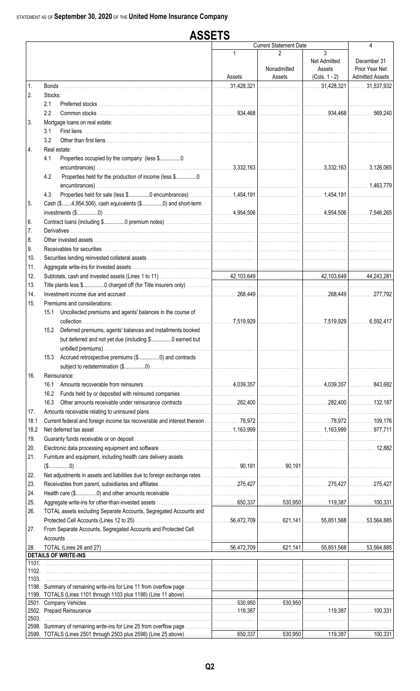|                |                | <b>ASSETS</b>                                                     |                     |                               |                             |                               |  |
|----------------|----------------|-------------------------------------------------------------------|---------------------|-------------------------------|-----------------------------|-------------------------------|--|
|                |                |                                                                   |                     | <b>Current Statement Date</b> |                             | 4                             |  |
|                |                |                                                                   | 1                   | 2<br>Nonadmitted              | 3<br>Net Admitted<br>Assets | December 31<br>Prior Year Net |  |
|                |                |                                                                   | Assets              | Assets                        | $(Cols. 1 - 2)$             | <b>Admitted Assets</b>        |  |
| 1.             |                |                                                                   | $\ldots$ 31,428,321 |                               | 31,428,321    31,537,932    |                               |  |
| 2.             | Stocks:<br>2.1 |                                                                   |                     |                               |                             |                               |  |
|                | 2.2            |                                                                   |                     |                               |                             |                               |  |
| 3.             |                | Mortgage loans on real estate:                                    |                     |                               |                             |                               |  |
|                | 3.1            |                                                                   |                     |                               |                             |                               |  |
|                | 3.2            |                                                                   |                     |                               |                             |                               |  |
| 4.             |                | Real estate:                                                      |                     |                               |                             |                               |  |
|                | 4.1            | Properties occupied by the company (less \$0                      |                     |                               |                             |                               |  |
|                | 4.2            | Properties held for the production of income (less \$0            |                     |                               |                             |                               |  |
|                | 4.3            |                                                                   |                     |                               |                             |                               |  |
| 5.             |                | Cash (\$4,954,506), cash equivalents (\$0) and short-term         |                     |                               |                             |                               |  |
|                |                |                                                                   |                     |                               |                             |                               |  |
| 6.             |                |                                                                   |                     |                               |                             |                               |  |
| 7.             |                |                                                                   |                     |                               |                             |                               |  |
| 8.             |                |                                                                   |                     |                               |                             |                               |  |
| 9.             |                |                                                                   |                     |                               |                             |                               |  |
| 10.            |                |                                                                   |                     |                               |                             |                               |  |
| 11.            |                |                                                                   |                     |                               |                             |                               |  |
| 12.            |                |                                                                   |                     |                               |                             |                               |  |
| 13.            |                |                                                                   |                     |                               |                             |                               |  |
| 14.            |                |                                                                   |                     |                               |                             |                               |  |
| 15.            |                | Premiums and considerations:                                      |                     |                               |                             |                               |  |
|                | 15.1           | Uncollected premiums and agents' balances in the course of        |                     |                               |                             |                               |  |
|                |                | 15.2 Deferred premiums, agents' balances and installments booked  |                     |                               |                             |                               |  |
|                |                | but deferred and not yet due (including \$0 earned but            |                     |                               |                             |                               |  |
|                |                |                                                                   |                     |                               |                             |                               |  |
|                |                | 15.3 Accrued retrospective premiums (\$0) and contracts           |                     |                               |                             |                               |  |
|                |                |                                                                   |                     |                               |                             |                               |  |
| 16.            |                | Reinsurance:                                                      |                     |                               |                             |                               |  |
|                | 16.1           |                                                                   |                     |                               |                             |                               |  |
|                |                |                                                                   |                     |                               |                             |                               |  |
|                | 16.3           |                                                                   |                     |                               |                             |                               |  |
| 17.            |                |                                                                   |                     |                               |                             |                               |  |
| 18.1           |                |                                                                   |                     |                               |                             |                               |  |
| 18.2           |                |                                                                   |                     |                               |                             |                               |  |
| 19.            |                |                                                                   |                     |                               |                             |                               |  |
| 20.<br>21.     |                | Furniture and equipment, including health care delivery assets    |                     |                               |                             |                               |  |
|                |                |                                                                   |                     |                               |                             |                               |  |
| 22.            |                |                                                                   |                     |                               |                             |                               |  |
| 23.            |                |                                                                   |                     |                               |                             |                               |  |
| 24.            |                |                                                                   |                     |                               |                             |                               |  |
| 25.            |                |                                                                   |                     |                               |                             |                               |  |
| 26.            |                | TOTAL assets excluding Separate Accounts, Segregated Accounts and |                     |                               |                             |                               |  |
|                |                |                                                                   |                     |                               |                             |                               |  |
| 27.            |                | From Separate Accounts, Segregated Accounts and Protected Cell    |                     |                               |                             |                               |  |
| 28.            |                | <b>DETAILS OF WRITE-INS</b>                                       |                     |                               |                             |                               |  |
| 1101.          |                |                                                                   |                     |                               |                             |                               |  |
| 1102.<br>1103. |                |                                                                   |                     |                               |                             |                               |  |
|                |                |                                                                   |                     |                               |                             |                               |  |
|                |                |                                                                   |                     |                               |                             |                               |  |
|                |                |                                                                   |                     |                               |                             |                               |  |
| 2503.          |                |                                                                   |                     |                               |                             |                               |  |
|                |                |                                                                   |                     |                               |                             |                               |  |
|                |                |                                                                   |                     |                               |                             |                               |  |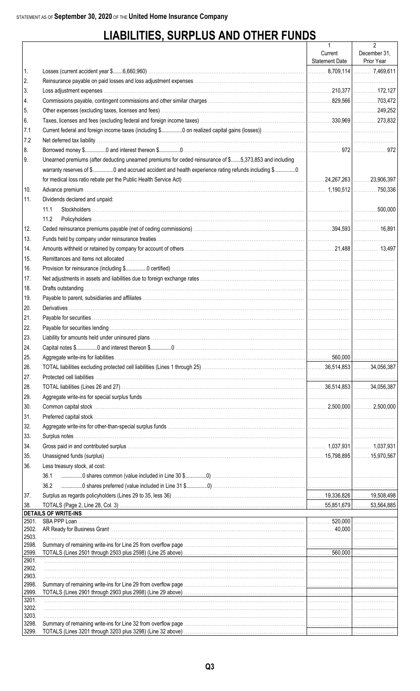# **LIABILITIES, SURPLUS AND OTHER FUNDS**

|                |                                                                                                                                                                                                                                     | $\mathbf{1}$                          | $\overline{2}$ |
|----------------|-------------------------------------------------------------------------------------------------------------------------------------------------------------------------------------------------------------------------------------|---------------------------------------|----------------|
|                |                                                                                                                                                                                                                                     | Current                               | December 31,   |
|                |                                                                                                                                                                                                                                     | <b>Statement Date</b>                 | Prior Year     |
| 1.             |                                                                                                                                                                                                                                     | $\ldots$ 8,709,114 $\ldots$ 7,469,611 |                |
| 2.             |                                                                                                                                                                                                                                     |                                       |                |
| 3.             |                                                                                                                                                                                                                                     |                                       |                |
| 4.             |                                                                                                                                                                                                                                     |                                       |                |
| 5.             |                                                                                                                                                                                                                                     |                                       |                |
| 6.             |                                                                                                                                                                                                                                     |                                       |                |
| 7.1<br>7.2     |                                                                                                                                                                                                                                     |                                       |                |
|                |                                                                                                                                                                                                                                     |                                       |                |
| 8.             |                                                                                                                                                                                                                                     |                                       |                |
| 9.             | Unearned premiums (after deducting unearned premiums for ceded reinsurance of \$5,373,853 and including                                                                                                                             |                                       |                |
|                | warranty reserves of \$0 and accrued accident and health experience rating refunds including \$0                                                                                                                                    |                                       |                |
|                |                                                                                                                                                                                                                                     |                                       |                |
| 10.            |                                                                                                                                                                                                                                     |                                       |                |
| 11.            | Dividends declared and unpaid:                                                                                                                                                                                                      |                                       |                |
|                | 11.1<br>11.2                                                                                                                                                                                                                        |                                       | $\frac{1}{2}$  |
|                |                                                                                                                                                                                                                                     |                                       |                |
| 12.            |                                                                                                                                                                                                                                     |                                       |                |
| 13.<br>14.     |                                                                                                                                                                                                                                     |                                       |                |
|                | Remittances and items not allocated <b>construction and intervention construction</b> and items not allocated construction and items in the set of the set of the set of the set of the set of the set of the set of the set of the |                                       |                |
| 15.<br>16.     |                                                                                                                                                                                                                                     |                                       |                |
|                |                                                                                                                                                                                                                                     |                                       |                |
| 17.            |                                                                                                                                                                                                                                     |                                       |                |
| 18.<br>19.     |                                                                                                                                                                                                                                     |                                       |                |
|                | Payable to parent, subsidiaries and affiliates with the content of the content of the content of the content of the content of the content of the content of the content of the content of the content of the content of the c      |                                       |                |
| 20.<br>21.     |                                                                                                                                                                                                                                     |                                       |                |
| 22.            |                                                                                                                                                                                                                                     |                                       |                |
| 23.            |                                                                                                                                                                                                                                     |                                       |                |
| 24.            |                                                                                                                                                                                                                                     |                                       |                |
| 25.            |                                                                                                                                                                                                                                     |                                       |                |
| 26.            |                                                                                                                                                                                                                                     |                                       |                |
| 27.            |                                                                                                                                                                                                                                     |                                       |                |
| 28.            |                                                                                                                                                                                                                                     |                                       |                |
| 29.            |                                                                                                                                                                                                                                     |                                       |                |
| 30.            |                                                                                                                                                                                                                                     |                                       |                |
| 31.            |                                                                                                                                                                                                                                     |                                       |                |
| 32.            |                                                                                                                                                                                                                                     |                                       |                |
| 33.            |                                                                                                                                                                                                                                     |                                       |                |
| 34.            |                                                                                                                                                                                                                                     |                                       |                |
| 35.            |                                                                                                                                                                                                                                     | $\vert$ 15,798,895 $\vert$ 15,970,567 |                |
| 36.            | Less treasury stock, at cost:                                                                                                                                                                                                       |                                       |                |
|                | 36.1                                                                                                                                                                                                                                |                                       |                |
|                | 36.2                                                                                                                                                                                                                                |                                       |                |
| 37.            |                                                                                                                                                                                                                                     |                                       |                |
| 38.            |                                                                                                                                                                                                                                     |                                       |                |
|                | <b>DETAILS OF WRITE-INS</b>                                                                                                                                                                                                         |                                       |                |
| 2501.          |                                                                                                                                                                                                                                     |                                       |                |
| 2502.<br>2503. |                                                                                                                                                                                                                                     |                                       |                |
| 2598.          |                                                                                                                                                                                                                                     |                                       |                |
| 2599.          |                                                                                                                                                                                                                                     |                                       |                |
| 2901.          |                                                                                                                                                                                                                                     |                                       |                |
| 2902.          |                                                                                                                                                                                                                                     |                                       |                |
| 2903.<br>2998. |                                                                                                                                                                                                                                     |                                       |                |
| 2999.          |                                                                                                                                                                                                                                     |                                       |                |
| 3201.          |                                                                                                                                                                                                                                     |                                       |                |
| 3202.          |                                                                                                                                                                                                                                     |                                       |                |
| 3203.<br>3298. |                                                                                                                                                                                                                                     |                                       |                |
| 3299.          |                                                                                                                                                                                                                                     |                                       |                |
|                |                                                                                                                                                                                                                                     |                                       |                |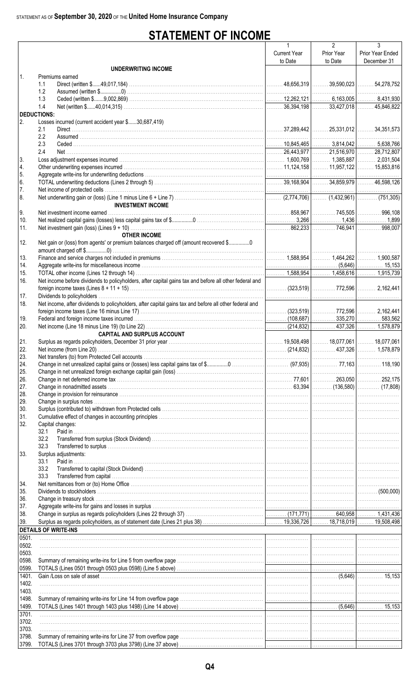# **STATEMENT OF INCOME**

|                    |                                                                                                        | 1                   | $\overline{2}$ | 3                |
|--------------------|--------------------------------------------------------------------------------------------------------|---------------------|----------------|------------------|
|                    |                                                                                                        | <b>Current Year</b> | Prior Year     | Prior Year Ended |
|                    |                                                                                                        | to Date             | to Date        | December 31      |
|                    | <b>UNDERWRITING INCOME</b>                                                                             |                     |                |                  |
| $\mathbf{1}$ .     | Premiums earned                                                                                        |                     |                |                  |
|                    | 1.1                                                                                                    |                     |                |                  |
|                    | 1.2                                                                                                    |                     |                |                  |
|                    | 1.3                                                                                                    |                     |                |                  |
|                    | 1.4                                                                                                    |                     |                |                  |
| <b>DEDUCTIONS:</b> |                                                                                                        |                     |                |                  |
| 2.                 | Losses incurred (current accident year \$30,687,419)                                                   |                     |                |                  |
|                    | 2.1                                                                                                    |                     |                |                  |
|                    | 2.2                                                                                                    |                     |                |                  |
|                    | 2.3                                                                                                    |                     |                |                  |
|                    | 2.4                                                                                                    |                     |                |                  |
| 3.                 |                                                                                                        |                     |                |                  |
| 4.                 |                                                                                                        |                     |                |                  |
| 5.                 |                                                                                                        |                     |                |                  |
| 6.                 |                                                                                                        |                     |                |                  |
| 17.                |                                                                                                        |                     |                |                  |
| 8.                 |                                                                                                        |                     |                |                  |
|                    | <b>INVESTMENT INCOME</b>                                                                               |                     |                |                  |
| 9.                 |                                                                                                        |                     |                |                  |
| 10.                |                                                                                                        |                     |                |                  |
| 11.                |                                                                                                        |                     |                |                  |
|                    | <b>OTHER INCOME</b>                                                                                    |                     |                |                  |
| 12.                | Net gain or (loss) from agents' or premium balances charged off (amount recovered \$                   |                     |                |                  |
|                    |                                                                                                        |                     |                |                  |
| 13.                |                                                                                                        |                     |                |                  |
| 14.                |                                                                                                        |                     |                |                  |
| 15.                |                                                                                                        |                     |                |                  |
| 16.                | Net income before dividends to policyholders, after capital gains tax and before all other federal and |                     |                |                  |
|                    |                                                                                                        |                     |                |                  |
| 17.                |                                                                                                        |                     |                |                  |
| 18.                | Net income, after dividends to policyholders, after capital gains tax and before all other federal and |                     |                |                  |
|                    |                                                                                                        |                     |                |                  |
| 19.                |                                                                                                        |                     |                |                  |
| 20.                |                                                                                                        |                     |                |                  |
|                    | <b>CAPITAL AND SURPLUS ACCOUNT</b>                                                                     |                     |                |                  |
| 21.                |                                                                                                        |                     |                |                  |
| 22.                |                                                                                                        |                     |                |                  |
| 23.                |                                                                                                        |                     |                |                  |
| 24.                |                                                                                                        |                     |                |                  |
| 25.                |                                                                                                        |                     |                |                  |
| 26.                |                                                                                                        |                     |                |                  |
| 27.                |                                                                                                        |                     |                |                  |
| 28.                |                                                                                                        |                     |                |                  |
| 29.                |                                                                                                        |                     |                |                  |
| 30.                |                                                                                                        |                     |                |                  |
| 31.                |                                                                                                        |                     |                |                  |
| 32.                | Capital changes:                                                                                       |                     |                |                  |
|                    | 32.1                                                                                                   |                     |                |                  |
|                    | 32.2                                                                                                   |                     |                |                  |
|                    | 32.3                                                                                                   |                     |                |                  |
| 33.                | Surplus adjustments:                                                                                   |                     |                |                  |
|                    | 33.1                                                                                                   |                     |                |                  |
|                    | 33.2                                                                                                   |                     |                |                  |
|                    | 33.3                                                                                                   |                     |                |                  |
| 34.                |                                                                                                        |                     |                |                  |
| 35.                |                                                                                                        |                     |                |                  |
| 36.                |                                                                                                        |                     |                |                  |
| 37.                |                                                                                                        |                     |                |                  |
| 38.                |                                                                                                        |                     |                |                  |
| 39.                |                                                                                                        |                     |                |                  |
|                    | <b>DETAILS OF WRITE-INS</b>                                                                            |                     |                |                  |
| 0501.              |                                                                                                        |                     |                |                  |
| 0502.              |                                                                                                        |                     |                |                  |
| 0503.              |                                                                                                        |                     |                |                  |
| 0598.              |                                                                                                        |                     |                |                  |
| 0599.              |                                                                                                        |                     |                |                  |
| 1401.              |                                                                                                        |                     |                |                  |
| 1402.              |                                                                                                        |                     |                |                  |
| 1403.              |                                                                                                        |                     |                |                  |
| 1498.              |                                                                                                        |                     |                |                  |
| 1499.              |                                                                                                        |                     |                |                  |
| 3701.              |                                                                                                        |                     |                |                  |
| 3702.              |                                                                                                        |                     |                |                  |
| 3703.              |                                                                                                        |                     |                |                  |
| 3798.              |                                                                                                        |                     |                |                  |
| 3799.              |                                                                                                        |                     |                |                  |
|                    |                                                                                                        |                     |                |                  |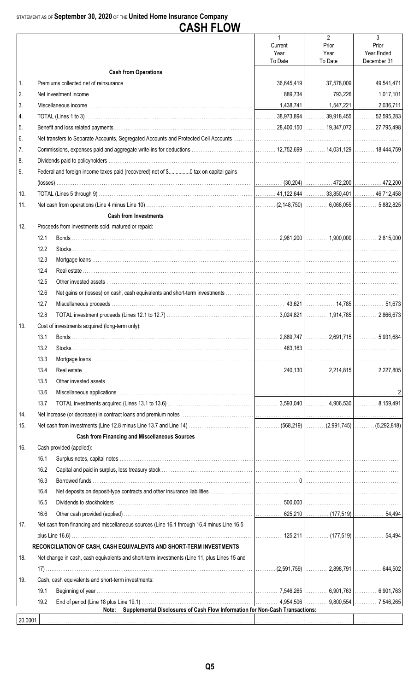|         |      | <b>CASH FLOW</b>                                                                            |                 |                                         |                     |
|---------|------|---------------------------------------------------------------------------------------------|-----------------|-----------------------------------------|---------------------|
|         |      |                                                                                             | $\mathbf{1}$    | $\overline{2}$                          | 3                   |
|         |      |                                                                                             | Current<br>Year | Prior<br>Year                           | Prior<br>Year Ended |
|         |      |                                                                                             | To Date         | To Date                                 | December 31         |
|         |      | <b>Cash from Operations</b>                                                                 |                 |                                         |                     |
| 1.      |      |                                                                                             |                 |                                         |                     |
| 2.      |      |                                                                                             |                 |                                         |                     |
| 3.      |      |                                                                                             |                 |                                         |                     |
| 4.      |      |                                                                                             |                 |                                         |                     |
| 5.      |      |                                                                                             |                 |                                         |                     |
| 6.      |      |                                                                                             |                 |                                         |                     |
| 7.      |      |                                                                                             |                 |                                         |                     |
| 8.      |      |                                                                                             |                 |                                         |                     |
| 9.      |      | Federal and foreign income taxes paid (recovered) net of \$0 tax on capital gains           |                 |                                         |                     |
|         |      |                                                                                             |                 |                                         |                     |
| 10.     |      |                                                                                             |                 |                                         |                     |
| 11.     |      |                                                                                             |                 |                                         |                     |
|         |      | <b>Cash from Investments</b>                                                                |                 |                                         |                     |
| 12.     |      | Proceeds from investments sold, matured or repaid:                                          |                 |                                         |                     |
|         | 12.1 |                                                                                             |                 |                                         |                     |
|         | 12.2 |                                                                                             |                 |                                         |                     |
|         | 12.3 |                                                                                             |                 |                                         |                     |
|         | 12.4 |                                                                                             |                 |                                         |                     |
|         | 12.5 |                                                                                             |                 |                                         |                     |
|         | 12.6 |                                                                                             |                 |                                         |                     |
|         | 12.7 |                                                                                             |                 |                                         |                     |
|         | 12.8 |                                                                                             |                 |                                         |                     |
| 13.     |      | Cost of investments acquired (long-term only):                                              |                 |                                         |                     |
|         | 13.1 |                                                                                             |                 |                                         |                     |
|         | 13.2 |                                                                                             |                 |                                         |                     |
|         | 13.3 |                                                                                             |                 |                                         |                     |
|         | 13.4 |                                                                                             |                 |                                         |                     |
|         | 13.5 |                                                                                             |                 |                                         |                     |
|         | 13.6 |                                                                                             |                 |                                         |                     |
|         | 13.7 |                                                                                             |                 |                                         |                     |
| 14.     |      |                                                                                             |                 |                                         |                     |
| 15.     |      |                                                                                             |                 |                                         |                     |
|         |      | <b>Cash from Financing and Miscellaneous Sources</b>                                        |                 |                                         |                     |
| 16.     |      | Cash provided (applied):                                                                    |                 |                                         |                     |
|         | 16.1 |                                                                                             |                 |                                         |                     |
|         | 16.2 |                                                                                             |                 |                                         |                     |
|         | 16.3 |                                                                                             |                 |                                         |                     |
|         | 16.4 |                                                                                             |                 |                                         |                     |
|         | 16.5 |                                                                                             |                 |                                         |                     |
|         | 16.6 |                                                                                             |                 |                                         |                     |
| 17.     |      | Net cash from financing and miscellaneous sources (Line 16.1 through 16.4 minus Line 16.5   |                 |                                         |                     |
|         |      |                                                                                             |                 |                                         |                     |
|         |      | RECONCILIATION OF CASH, CASH EQUIVALENTS AND SHORT-TERM INVESTMENTS                         |                 |                                         |                     |
| 18.     |      | Net change in cash, cash equivalents and short-term investments (Line 11, plus Lines 15 and |                 |                                         |                     |
|         |      |                                                                                             | 1.1.1.1.1.1     | . (2,591,759) $\vert$ 2,898,791 $\vert$ | 0.644,502           |
| 19.     |      | Cash, cash equivalents and short-term investments:                                          |                 |                                         |                     |
|         | 19.1 |                                                                                             |                 |                                         |                     |
|         | 19.2 |                                                                                             |                 |                                         |                     |
|         |      | Supplemental Disclosures of Cash Flow Information for Non-Cash Transactions:<br>Note:       |                 |                                         |                     |
| 20.0001 |      |                                                                                             |                 |                                         |                     |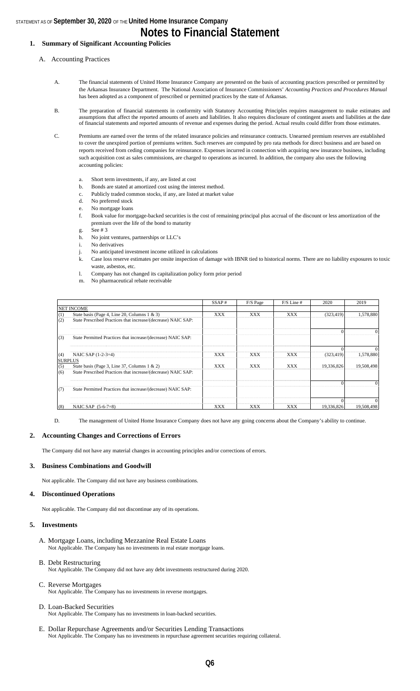## **Notes to Financial Statement**

#### **1. Summary of Significant Accounting Policies**

#### A. Accounting Practices

- A. The financial statements of United Home Insurance Company are presented on the basis of accounting practices prescribed or permitted by the Arkansas Insurance Department. The National Association of Insurance Commissioners' *Accounting Practices and Procedures Manual*  has been adopted as a component of prescribed or permitted practices by the state of Arkansas.
- B. The preparation of financial statements in conformity with Statutory Accounting Principles requires management to make estimates and assumptions that affect the reported amounts of assets and liabilities. It also requires disclosure of contingent assets and liabilities at the date of financial statements and reported amounts of revenue and expenses during the period. Actual results could differ from those estimates.
- C. Premiums are earned over the terms of the related insurance policies and reinsurance contracts. Unearned premium reserves are established to cover the unexpired portion of premiums written. Such reserves are computed by pro rata methods for direct business and are based on reports received from ceding companies for reinsurance. Expenses incurred in connection with acquiring new insurance business, including such acquisition cost as sales commissions, are charged to operations as incurred. In addition, the company also uses the following accounting policies:
	- a. Short term investments, if any, are listed at cost
	- b. Bonds are stated at amortized cost using the interest method.
	- c. Publicly traded common stocks, if any, are listed at market value
	- d. No preferred stock
	- e. No mortgage loans
	- f. Book value for mortgage-backed securities is the cost of remaining principal plus accrual of the discount or less amortization of the premium over the life of the bond to maturity
	- g. See # 3
	- h. No joint ventures, partnerships or LLC's
	- i. No derivatives
	- j. No anticipated investment income utilized in calculations
	- k. Case loss reserve estimates per onsite inspection of damage with IBNR tied to historical norms. There are no liability exposures to toxic waste, asbestos, etc.
	- l. Company has not changed its capitalization policy form prior period
	- m. No pharmaceutical rebate receivable

|     |                                                               | SSAP#      | F/S Page   | $F/S$ Line # | 2020       | 2019       |
|-----|---------------------------------------------------------------|------------|------------|--------------|------------|------------|
|     | <b>NET INCOME</b>                                             |            |            |              |            |            |
| (1) | State basis (Page 4, Line 20, Columns $1 \& 3$ )              | <b>XXX</b> | <b>XXX</b> | <b>XXX</b>   | (323, 419) | 1,578,880  |
| (2) | State Prescribed Practices that increase/(decrease) NAIC SAP: |            |            |              |            |            |
|     |                                                               |            |            |              |            |            |
| (3) | State Permitted Practices that increase/(decrease) NAIC SAP:  |            |            |              |            |            |
|     |                                                               |            |            |              |            | 0          |
| (4) | NAIC SAP (1-2-3=4)                                            | <b>XXX</b> | <b>XXX</b> | <b>XXX</b>   | (323, 419) | 1,578,880  |
|     | <b>SURPLUS</b>                                                |            |            |              |            |            |
| (5) | State basis (Page 3, Line 37, Columns $1 \& 2$ )              | <b>XXX</b> | <b>XXX</b> | XXX          | 19,336,826 | 19,508,498 |
| (6) | State Prescribed Practices that increase/(decrease) NAIC SAP: |            |            |              |            |            |
|     |                                                               |            |            |              |            |            |
| (7) | State Permitted Practices that increase/(decrease) NAIC SAP:  |            |            |              |            |            |
|     |                                                               |            |            |              |            | 0          |
| (8) | NAIC SAP $(5-6-7=8)$                                          | XXX        | XXX        | XXX          | 19.336.826 | 19,508,498 |

D. The management of United Home Insurance Company does not have any going concerns about the Company's ability to continue.

#### **2. Accounting Changes and Corrections of Errors**

The Company did not have any material changes in accounting principles and/or corrections of errors.

#### **3. Business Combinations and Goodwill**

Not applicable. The Company did not have any business combinations.

#### **4. Discontinued Operations**

Not applicable. The Company did not discontinue any of its operations.

#### **5. Investments**

- A. Mortgage Loans, including Mezzanine Real Estate Loans Not Applicable. The Company has no investments in real estate mortgage loans.
- B. Debt Restructuring Not Applicable. The Company did not have any debt investments restructured during 2020.
- C. Reverse Mortgages Not Applicable. The Company has no investments in reverse mortgages.

#### D. Loan-Backed Securities Not Applicable. The Company has no investments in loan-backed securities.

E. Dollar Repurchase Agreements and/or Securities Lending Transactions Not Applicable. The Company has no investments in repurchase agreement securities requiring collateral.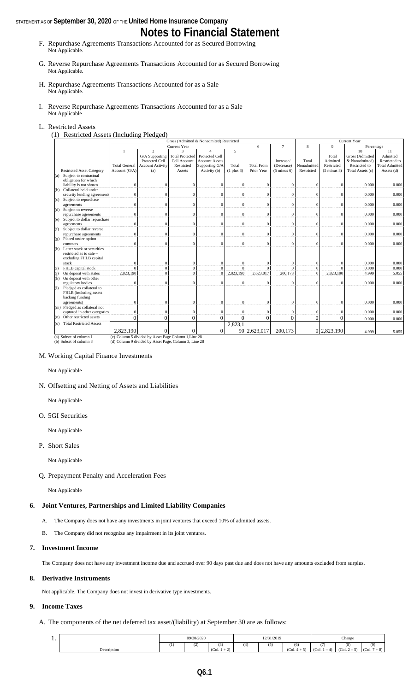## **Notes to Financial Statement**

- F. Repurchase Agreements Transactions Accounted for as Secured Borrowing Not Applicable.
- G. Reverse Repurchase Agreements Transactions Accounted for as Secured Borrowing Not Applicable.
- H. Repurchase Agreements Transactions Accounted for as a Sale Not Applicable.
- I. Reverse Repurchase Agreements Transactions Accounted for as a Sale Not Applicable

#### L. Restricted Assets

(1) Restricted Assets (Including Pledged)

|     |                                  |                      |                                                       |                        | Gross (Admitted & Nonadmited) Restricted |              |                   |                        | Current Year     |                        |                  |                       |
|-----|----------------------------------|----------------------|-------------------------------------------------------|------------------------|------------------------------------------|--------------|-------------------|------------------------|------------------|------------------------|------------------|-----------------------|
|     |                                  |                      |                                                       | Current Year           |                                          |              | 6                 | $\tau$                 | 8                | $\mathbf{Q}$           | Percentage       |                       |
|     |                                  |                      | 2                                                     | 3                      |                                          | 5            |                   |                        |                  |                        | 10               | 11                    |
|     |                                  |                      | G/A Supporting                                        | <b>Total Protected</b> | Protected Cell                           |              |                   |                        |                  | Total                  | Gross (Admitted  | Admitted              |
|     |                                  |                      | Protected Cell                                        | Cell Account           | <b>Account Assets</b>                    |              |                   | Increase/              | Total            | Admitted               | & Nonadmitted)   | Restricted to         |
|     |                                  | <b>Total General</b> | <b>Account Activity</b>                               | Restricted             | Supporting G/A                           | Total        | <b>Total From</b> | (Decrease)             | Nonadmitted      | Restricted             | Restricted to    | <b>Total Admitted</b> |
|     | <b>Restricted Asset Category</b> | Account $(G/A)$      | (a)                                                   | Assets                 | Activity (b)                             | $(1$ plus 3) | Prior Year        | $(5 \text{ minus } 6)$ | Restricted       | $(5 \text{ minus } 8)$ | Total Assets (c) | Assets (d)            |
| (a) | Subject to contractual           |                      |                                                       |                        |                                          |              |                   |                        |                  |                        |                  |                       |
|     | obligation for which             |                      |                                                       |                        |                                          |              |                   |                        |                  |                        |                  |                       |
|     | liability is not shown           | $\mathbf{0}$         | $\Omega$                                              | $\mathbf{0}$           | $\Omega$                                 | $\mathbf{0}$ | $\Omega$          | $\mathbf{0}$           | $\boldsymbol{0}$ | $\mathbf{0}$           | 0.000            | 0.000                 |
|     | (b) Collateral held under        |                      |                                                       |                        |                                          |              |                   |                        |                  |                        |                  |                       |
|     | security lending agreements      | $\Omega$             | $\Omega$                                              | $\mathbf{0}$           | $\mathbf{0}$                             | $\mathbf{0}$ | $\Omega$          | $\mathbf{0}$           | $\mathbf{0}$     | $\mathbf{0}$           | 0.000            | 0.000                 |
| (c) | Subject to repurchase            |                      |                                                       |                        |                                          |              |                   |                        |                  |                        |                  |                       |
|     | agreements                       | $\mathbf{0}$         | $\Omega$                                              | $\mathbf{0}$           | $\mathbf{0}$                             | $\mathbf{0}$ | $\Omega$          | $\Omega$               | $\mathbf{0}$     | $\mathbf{0}$           | 0.000            | 0.000                 |
|     | (d) Subject to reverse           |                      |                                                       |                        |                                          |              |                   |                        |                  |                        |                  |                       |
|     | repurchase agreements            | $\Omega$             | $\Omega$                                              | $\Omega$               | $\Omega$                                 | $\mathbf{0}$ | $\Omega$          | $\Omega$               | $\mathbf{0}$     | $\Omega$               | 0.000            | 0.000                 |
| (e) | Subject to dollar repurchase     |                      |                                                       |                        |                                          |              |                   |                        |                  |                        |                  |                       |
|     | agreements                       | $\Omega$             | $\Omega$                                              | $\mathbf{0}$           | $\mathbf{0}$                             | $\mathbf{0}$ | $\Omega$          | $\mathbf{0}$           | $\mathbf{0}$     | $\mathbf{0}$           | 0.000            | 0.000                 |
| (f) | Subject to dollar reverse        |                      |                                                       |                        |                                          |              |                   |                        |                  |                        |                  |                       |
|     | repurchase agreements            | $\mathbf{0}$         | $\Omega$                                              | $\mathbf{0}$           | $\mathbf{0}$                             | $\mathbf{0}$ | $\Omega$          | $\mathbf{0}$           | $\mathbf{0}$     | $\mathbf{0}$           | 0.000            | 0.000                 |
| (g) | Placed under option              |                      |                                                       |                        |                                          |              |                   |                        |                  |                        |                  |                       |
|     | contracts                        |                      | $\Omega$                                              | $\Omega$               | $\Omega$                                 | $\Omega$     | $\Omega$          | $\Omega$               | $\Omega$         | $\theta$               | 0.000            | 0.000                 |
| (h) | Letter stock or securities       |                      |                                                       |                        |                                          |              |                   |                        |                  |                        |                  |                       |
|     | restricted as to sale -          |                      |                                                       |                        |                                          |              |                   |                        |                  |                        |                  |                       |
|     | excluding FHLB capital           |                      |                                                       |                        |                                          |              |                   |                        |                  |                        |                  |                       |
|     | stock                            |                      | $\Omega$                                              | $\Omega$               | $\Omega$                                 | $\mathbf{0}$ |                   | $\Omega$               | $\mathbf{0}$     | $\Omega$               | 0.000            | 0.000                 |
| (i) | FHLB capital stock               |                      | $\Omega$                                              | $\Omega$               | $\Omega$                                 | $\Omega$     |                   | $\Omega$               | $\mathbf{0}$     | $\Omega$               | 0.000            | 0.000                 |
| (i) | On deposit with states           | 2,823,190            | $\Omega$                                              | $\Omega$               | $\Omega$                                 | 2,823,190    | 2,623,017         | 200,173                | $\mathbf{0}$     | 2,823,190              | 4.999            | 5.055                 |
| (k) | On deposit with other            |                      |                                                       |                        |                                          |              |                   |                        |                  |                        |                  |                       |
|     | regulatory bodies                | $\Omega$             | $\Omega$                                              | $\Omega$               | $\mathbf{0}$                             | $\mathbf{0}$ | $\Omega$          | $\Omega$               | $\overline{0}$   | $\Omega$               | 0.000            | 0.000                 |
| (1) | Pledged as collateral to         |                      |                                                       |                        |                                          |              |                   |                        |                  |                        |                  |                       |
|     | FHLB (including assets           |                      |                                                       |                        |                                          |              |                   |                        |                  |                        |                  |                       |
|     | backing funding                  |                      |                                                       |                        |                                          |              |                   |                        |                  |                        |                  |                       |
|     | agreements)                      | $\mathbf{0}$         | $\theta$                                              | $\Omega$               | $\mathbf{0}$                             | $\mathbf{0}$ | $\Omega$          | $\mathbf{0}$           | $\mathbf{0}$     | $\Omega$               | 0.000            | 0.000                 |
|     | (m) Pledged as collateral not    |                      |                                                       |                        |                                          |              |                   |                        |                  |                        |                  |                       |
|     | captured in other categories     | $\Omega$             | $\Omega$                                              | $\Omega$               | $\Omega$                                 | $\mathbf{0}$ | ſ                 | $\Omega$               | $\mathbf{0}$     | $\theta$               | 0.000            | 0.000                 |
| (n) | Other restricted assets          | $\theta$             | $\Omega$                                              | $\theta$               | $\theta$                                 | $\theta$     | $\Omega$          | $\Omega$               | $\theta$         | $\theta$               | 0.000            | 0.000                 |
| (O) | <b>Total Restricted Assets</b>   |                      |                                                       |                        |                                          | 2,823,1      |                   |                        |                  |                        |                  |                       |
|     |                                  | 2.823.190            |                                                       | $\Omega$               | $\Omega$                                 |              | 90 2,623,017      | 200.173                |                  | 0 2,823,190            |                  |                       |
|     |                                  |                      |                                                       |                        |                                          |              |                   |                        |                  |                        | 4.999            | 5.055                 |
|     | (a) Subset of column 1           |                      | (c) Column 5 divided by Asset Page Column 1, Line 28  |                        |                                          |              |                   |                        |                  |                        |                  |                       |
|     | (b) Subset of column 3           |                      | (d) Column 9 divided by Asset Page, Column 3, Line 28 |                        |                                          |              |                   |                        |                  |                        |                  |                       |

#### M. Working Capital Finance Investments

Not Applicable

#### N. Offsetting and Netting of Assets and Liabilities

Not Applicable

#### O. 5GI Securities

Not Applicable

#### P. Short Sales

Not Applicable

#### Q. Prepayment Penalty and Acceleration Fees

Not Applicable

## **6. Joint Ventures, Partnerships and Limited Liability Companies**

- A. The Company does not have any investments in joint ventures that exceed 10% of admitted assets.
- B. The Company did not recognize any impairment in its joint ventures.

## **7. Investment Income**

The Company does not have any investment income due and accrued over 90 days past due and does not have any amounts excluded from surplus.

## **8. Derivative Instruments**

Not applicable. The Company does not invest in derivative type investments.

## **9. Income Taxes**

## A. The components of the net deferred tax asset/(liability) at September 30 are as follows:

| . . |             | 09/30/2020 |                | 12/31/2019 |    |                 | Change       |                                      |                                  |
|-----|-------------|------------|----------------|------------|----|-----------------|--------------|--------------------------------------|----------------------------------|
|     |             | <br>ے ہ    | ۰<br>-4<br>. . |            | O. | (6)             |              | (8)                                  | (9)                              |
|     | Description |            | (Co1.          |            |    | t Col. 4<br>. ب | (Col.<br>$-$ | $\epsilon$<br>[COL, Z]<br>$-$<br>، ب | (Col.<br>$\overline{ }$<br>$+8)$ |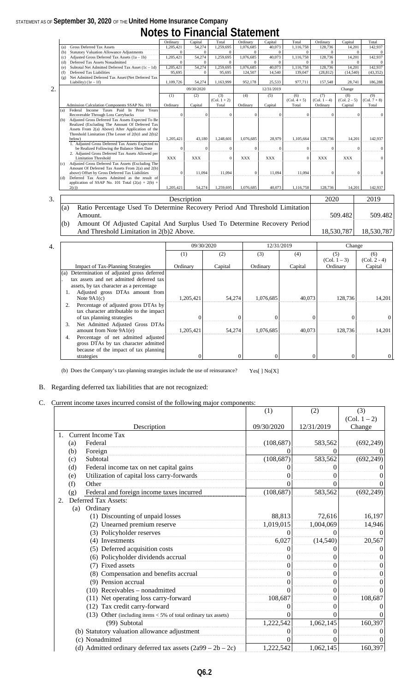# **Notes to Financial Statement**

|    |     |                                                                                                    | Ordinary                 | Capital     | Total          | Ordinary   | Capital      | Total          | Ordinary       | Capital        | Total                |
|----|-----|----------------------------------------------------------------------------------------------------|--------------------------|-------------|----------------|------------|--------------|----------------|----------------|----------------|----------------------|
|    | (a) | Gross Deferred Tax Assets                                                                          | 1,205,421                | 54,274      | 1,259,695      | 1,076,685  | 40,073       | 1,116,758      | 128,736        | 14,201         | 142,937              |
|    | (b) | <b>Statutory Valuation Allowance Adjustments</b>                                                   | $\mathbf{0}$             |             | $\mathbf{0}$   |            | $\mathbf{0}$ | $\Omega$       |                | $\Omega$       |                      |
|    | (c) | Adjusted Gross Deferred Tax Assets $(1a - 1b)$                                                     | 1,205,421                | 54,274      | 1,259,695      | 1,076,685  | 40,073       | 1,116,758      | 128,736        | 14,201         | 142,937              |
|    | (d) | Deferred Tax Assets Nonadmitted                                                                    | $\Omega$                 |             | $\Omega$       |            | $\Omega$     | $\Omega$       |                | $\Omega$       |                      |
|    | (e) | Subtotal Net Admitted Deferred Tax Asset $(1c - 1d)$                                               | 1,205,421                | 54,274      | 1,259,695      | 1,076,685  | 40.073       | 1,116,758      | 128,736        | 14.201         | 142.937              |
|    | (f) | Deferred Tax Liabilities                                                                           | 95,695                   | $\Omega$    | 95,695         | 124,507    | 14,540       | 139,047        | (28, 812)      | (14,540)       | (43, 352)            |
|    | (g) | Net Admitted Deferred Tax Asset/(Net Deferred Tax                                                  |                          |             |                |            |              |                |                |                |                      |
|    |     | Liability) $(1e - 1f)$                                                                             | 1,109,726                | 54,274      | 1,163,999      | 952,178    | 25,533       | 977,711        | 157,548        | 28,741         | 186,288              |
| 2. |     |                                                                                                    | 09/30/2020<br>12/31/2019 |             |                |            |              |                |                | Change         |                      |
|    |     |                                                                                                    | (1)                      | (2)         | (3)            | (4)        | (5)          | (6)            | (7)            | (8)            | (9)                  |
|    |     |                                                                                                    |                          |             | $(Col. 1 + 2)$ |            |              | $(Col. 4 + 5)$ | $(Col. 1 - 4)$ | $(Col. 2 - 5)$ | $(Col. 7 + 8)$       |
|    |     | Admission Calculation Components SSAP No. 101                                                      | Ordinary                 | Capital     | Total          | Ordinary   | Capital      | Total          | Ordinary       | Capital        | Total                |
|    | (a) | Federal Income Taxes Paid In Prior Years                                                           |                          |             |                |            |              |                |                |                |                      |
|    |     | Recoverable Through Loss Carrybacks                                                                | $\Omega$                 | $\Omega$    | $\Omega$       | $\Omega$   | $\Omega$     | $\Omega$       | $\Omega$       |                | $\Omega$<br>$\Omega$ |
|    | (b) | Adjusted Gross Deferred Tax Assets Expected To Be                                                  |                          |             |                |            |              |                |                |                |                      |
|    |     | Realized (Excluding The Amount Of Deferred Tax<br>Assets From 2(a) Above) After Application of the |                          |             |                |            |              |                |                |                |                      |
|    |     | Threshold Limitation (The Lesser of $2(b)1$ and $2(b)2$                                            |                          |             |                |            |              |                |                |                |                      |
|    |     | below)                                                                                             | 1,205,421                | 43,180      | 1,248,601      | 1,076,685  | 28,979       | 1,105,664      | 128,736        | 14,201         | 142,937              |
|    |     | 1. Adjusted Gross Deferred Tax Assets Expected to                                                  |                          |             |                |            |              |                |                |                |                      |
|    |     | be Realized Following the Balance Sheet Date                                                       | $\mathbf{0}$             | $\theta$    | $\mathbf{0}$   | $\Omega$   | $\mathbf{0}$ | $\mathbf{0}$   | $\Omega$       | $\Omega$       | $\mathbf{0}$         |
|    |     | 2. Adjusted Gross Deferred Tax Assets Allowed per                                                  |                          |             |                |            |              |                |                |                |                      |
|    |     | <b>Limitation Threshold</b>                                                                        | <b>XXX</b>               | <b>XXX</b>  | $\Omega$       | <b>XXX</b> | <b>XXX</b>   | $\Omega$       | <b>XXX</b>     | <b>XXX</b>     | $\Omega$             |
|    | (c) | Adjusted Gross Deferred Tax Assets (Excluding The                                                  |                          |             |                |            |              |                |                |                |                      |
|    |     | Amount Of Deferred Tax Assets From 2(a) and 2(b)                                                   |                          |             |                |            |              |                |                |                |                      |
|    |     | above) Offset by Gross Deferred Tax Liabilities                                                    | $\mathbf{0}$             | 11.094      | 11,094         |            | 11.094       | 11.094         | $\Omega$       |                | $\Omega$<br>$\Omega$ |
|    | (d) | Deferred Tax Assets Admitted as the result of                                                      |                          |             |                |            |              |                |                |                |                      |
|    |     | application of SSAP No. 101 Total $(2(a) + 2(b) +$                                                 |                          |             |                |            |              |                |                |                |                      |
|    |     | 2(c)                                                                                               | 1,205,421                | 54,274      | 1,259,695      | 1,076,685  | 40,073       | 1,116,758      | 128,736        | 14,201         | 142,937              |
| 3. |     |                                                                                                    |                          |             |                |            |              |                | 2020           |                | 2019                 |
|    |     |                                                                                                    |                          | Description |                |            |              |                |                |                |                      |
|    | (a) | Ratio Percentage Used To Determine Recovery Period And Threshold Limitation                        |                          |             |                |            |              |                |                |                |                      |
|    |     | Amount.                                                                                            |                          |             |                |            |              |                |                | 509.482        | 509.482              |
|    | (b) | Amount Of Adjusted Capital And Surplus Used To Determine Recovery Period                           |                          |             |                |            |              |                |                |                |                      |
|    |     |                                                                                                    |                          |             |                |            |              |                |                |                |                      |
|    |     | And Threshold Limitation in 2(b)2 Above.                                                           |                          |             |                |            |              |                |                | 18,530,787     | 18,530,787           |

| 4. |                                                                                                                                                                                             | 09/30/2020 |         |           | 12/31/2019 | Change         |                |
|----|---------------------------------------------------------------------------------------------------------------------------------------------------------------------------------------------|------------|---------|-----------|------------|----------------|----------------|
|    |                                                                                                                                                                                             | (1)        | (2)     | (3)       | (4)        | (5)            | (6)            |
|    |                                                                                                                                                                                             |            |         |           |            | $(Col. 1 - 3)$ | $(Col. 2 - 4)$ |
|    | Impact of Tax-Planning Strategies                                                                                                                                                           | Ordinary   | Capital | Ordinary  | Capital    | Ordinary       | Capital        |
|    | Determination of adjusted gross deferred<br>(a)<br>tax assets and net admitted deferred tax<br>assets, by tax character as a percentage<br>Adjusted gross DTAs amount from<br>Note $9A1(c)$ | 1,205,421  | 54,274  | 1,076,685 | 40,073     | 128.736        | 14,201         |
|    | Percentage of adjusted gross DTAs by<br>tax character attributable to the impact<br>of tax planning strategies                                                                              |            |         |           |            |                | $\Omega$       |
|    | Net Admitted Adjusted Gross DTAs<br>3.<br>amount from Note 9A1(e)                                                                                                                           | 1,205,421  | 54,274  | 1,076,685 | 40,073     | 128,736        | 14.201         |
|    | Percentage of net admitted adjusted<br>4.<br>gross DTAs by tax character admitted<br>because of the impact of tax planning<br>strategies                                                    |            |         |           |            | $\Omega$       | $\Omega$       |

(b) Does the Company's tax-planning strategies include the use of reinsurance? Yes[ ] No[X]

## B. Regarding deferred tax liabilities that are not recognized:

C. Current income taxes incurred consist of the following major components:

|    |     |                                                                  | (1)        | (2)              | (3)              |
|----|-----|------------------------------------------------------------------|------------|------------------|------------------|
|    |     |                                                                  |            |                  | $(Col. 1 - 2)$   |
|    |     | Description                                                      | 09/30/2020 | 12/31/2019       | Change           |
| 1. |     | <b>Current Income Tax</b>                                        |            |                  |                  |
|    | (a) | Federal                                                          | (108, 687) | 583,562          | (692, 249)       |
|    | (b) | Foreign                                                          |            |                  |                  |
|    | (c) | Subtotal                                                         | (108, 687) | 583,562          | (692, 249)       |
|    | (d) | Federal income tax on net capital gains                          |            |                  | 0                |
|    | (e) | Utilization of capital loss carry-forwards                       |            |                  | 0                |
|    | (f) | Other                                                            |            |                  | $\Omega$         |
|    | (g) | Federal and foreign income taxes incurred                        | (108, 687) | 583,562          | (692, 249)       |
| 2. |     | Deferred Tax Assets:                                             |            |                  |                  |
|    | (a) | Ordinary                                                         |            |                  |                  |
|    |     | (1) Discounting of unpaid losses                                 | 88,813     | 72,616           | 16,197           |
|    |     | (2) Unearned premium reserve                                     | 1,019,015  | 1,004,069        | 14,946           |
|    |     | (3) Policyholder reserves                                        |            |                  | $\Omega$         |
|    |     | (4) Investments                                                  | 6,027      | (14, 540)        | 20,567           |
|    |     | (5) Deferred acquisition costs                                   |            |                  | $\boldsymbol{0}$ |
|    |     | (6) Policyholder dividends accrual                               |            |                  | $\boldsymbol{0}$ |
|    |     | Fixed assets<br>(7)                                              | 0          | $\left( \right)$ | $\theta$         |
|    |     | (8) Compensation and benefits accrual                            | 0          |                  | $\overline{0}$   |
|    |     | (9) Pension accrual                                              |            |                  | $\theta$         |
|    |     | $(10)$ Receivables - nonadmitted                                 |            |                  | $\Omega$         |
|    |     | (11) Net operating loss carry-forward                            | 108,687    | 0                | 108,687          |
|    |     | (12) Tax credit carry-forward                                    |            |                  | $^{(1)}$         |
|    |     | (13) Other (including items $<$ 5% of total ordinary tax assets) |            |                  | $\overline{0}$   |
|    |     | (99) Subtotal                                                    | 1,222,542  | 1,062,145        | 160,397          |
|    |     | (b) Statutory valuation allowance adjustment                     |            |                  | $\theta$         |
|    |     | (c) Nonadmitted                                                  |            |                  | $^{(1)}$         |
|    |     | (d) Admitted ordinary deferred tax assets $(2a99 – 2b – 2c)$     | 1,222,542  | 1,062,145        | 160,397          |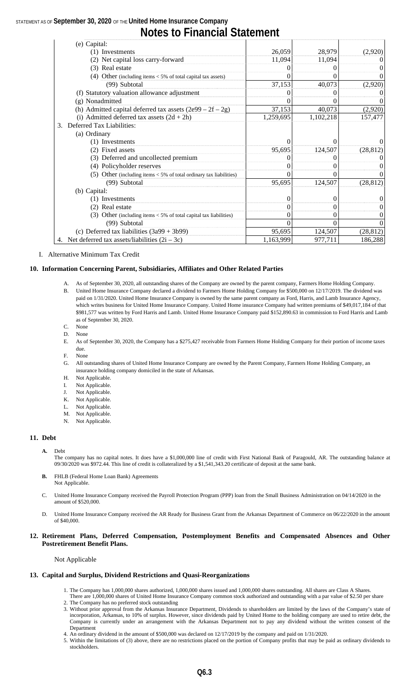## **Notes to Financial Statement**

| (e) Capital:                                                         |           |           |           |
|----------------------------------------------------------------------|-----------|-----------|-----------|
| (1) Investments                                                      | 26,059    | 28,979    | (2,920)   |
| (2) Net capital loss carry-forward                                   | 11,094    | 11,094    |           |
| (3) Real estate                                                      |           |           | $\Omega$  |
| (4) Other (including items $<$ 5% of total capital tax assets)       |           |           | $\theta$  |
| (99) Subtotal                                                        | 37,153    | 40,073    | (2,920)   |
| (f) Statutory valuation allowance adjustment                         |           |           |           |
| (g) Nonadmitted                                                      |           |           | $\theta$  |
| (h) Admitted capital deferred tax assets $(2e99 – 2f – 2g)$          | 37,153    | 40,073    | (2,920)   |
| (i) Admitted deferred tax assets $(2d + 2h)$                         | 1,259,695 | 1,102,218 | 157,477   |
| Deferred Tax Liabilities:<br>3.                                      |           |           |           |
| (a) Ordinary                                                         |           |           |           |
| (1) Investments                                                      |           |           | $\theta$  |
| (2) Fixed assets                                                     | 95,695    | 124,507   | (28, 812) |
| (3) Deferred and uncollected premium                                 |           |           |           |
| (4) Policyholder reserves                                            |           |           | $\theta$  |
| (5) Other (including items $<$ 5% of total ordinary tax liabilities) |           |           | $\Omega$  |
| (99) Subtotal                                                        | 95,695    | 124,507   | (28, 812) |
| (b) Capital:                                                         |           |           |           |
| (1) Investments                                                      | $\theta$  | $\left($  | $\theta$  |
| (2) Real estate                                                      |           |           | $\Omega$  |
| (3) Other (including items $<$ 5% of total capital tax liabilities)  |           |           | $\theta$  |
| (99) Subtotal                                                        |           |           | $\Omega$  |
| (c) Deferred tax liabilities $(3a99 + 3b99)$                         | 95,695    | 124,507   | (28, 812) |
| 4. Net deferred tax assets/liabilities $(2i – 3c)$                   | 1,163,999 | 977,711   | 186,288   |

#### I. Alternative Minimum Tax Credit

#### **10. Information Concerning Parent, Subsidiaries, Affiliates and Other Related Parties**

- A. As of September 30, 2020, all outstanding shares of the Company are owned by the parent company, Farmers Home Holding Company. B. United Home Insurance Company declared a dividend to Farmers Home Holding Company for \$500,000 on 12/17/2019. The dividend was paid on 1/31/2020. United Home Insurance Company is owned by the same parent company as Ford, Harris, and Lamb Insurance Agency, which writes business for United Home Insurance Company. United Home insurance Company had written premiums of \$49,017,184 of that \$981,577 was written by Ford Harris and Lamb. United Home Insurance Company paid \$152,890.63 in commission to Ford Harris and Lamb as of September 30, 2020.
- C. None
- D. None
- E. As of September 30, 2020, the Company has a \$275,427 receivable from Farmers Home Holding Company for their portion of income taxes due.
- F. None
- G. All outstanding shares of United Home Insurance Company are owned by the Parent Company, Farmers Home Holding Company, an insurance holding company domiciled in the state of Arkansas.
- H. Not Applicable.
- I. Not Applicable.
- J. Not Applicable.
- K. Not Applicable.
- L. Not Applicable.
- M. Not Applicable.
- N. Not Applicable.

#### **11. Debt**

**A.** Debt

- The company has no capital notes. It does have a \$1,000,000 line of credit with First National Bank of Paragould, AR. The outstanding balance at 09/30/2020 was \$972.44. This line of credit is collateralized by a \$1,541,343.20 certificate of deposit at the same bank.
- **B.** FHLB (Federal Home Loan Bank) Agreements Not Applicable.
- C. United Home Insurance Company received the Payroll Protection Program (PPP) loan from the Small Business Administration on 04/14/2020 in the amount of \$520,000.
- D. United Home Insurance Company received the AR Ready for Business Grant from the Arkansas Department of Commerce on 06/22/2020 in the amount of \$40,000.
- **12. Retirement Plans, Deferred Compensation, Postemployment Benefits and Compensated Absences and Other Postretirement Benefit Plans.**

#### Not Applicable

#### **13. Capital and Surplus, Dividend Restrictions and Quasi-Reorganizations**

- 1. The Company has 1,000,000 shares authorized, 1,000,000 shares issued and 1,000,000 shares outstanding. All shares are Class A Shares.
- There are 1,000,000 shares of United Home Insurance Company common stock authorized and outstanding with a par value of \$2.50 per share 2. The Company has no preferred stock outstanding
- 3. Without prior approval from the Arkansas Insurance Department, Dividends to shareholders are limited by the laws of the Company's state of incorporation, Arkansas, to 10% of surplus. However, since dividends paid by United Home to the holding company are used to retire debt, the Company is currently under an arrangement with the Arkansas Department not to pay any dividend without the written consent of the Department
- 4. An ordinary dividend in the amount of \$500,000 was declared on 12/17/2019 by the company and paid on 1/31/2020.
- 5. Within the limitations of (3) above, there are no restrictions placed on the portion of Company profits that may be paid as ordinary dividends to stockholders.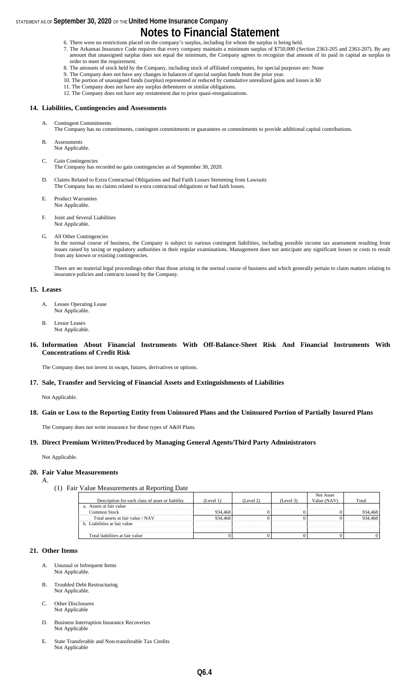## **Notes to Financial Statement**

- 6. There were no restrictions placed on the company's surplus, including for whom the surplus is being held.
- 7. The Arkansas Insurance Code requires that every company maintain a minimum surplus of \$750,000 (Section 2363-205 and 2363-207). By any amount that unassigned surplus does not equal the minimum, the Company agrees to recognize that amount of its paid in capital as surplus in order to meet the requirement.
- 8. The amounts of stock held by the Company, including stock of affiliated companies, for special purposes are: None
- 9. The Company does not have any changes in balances of special surplus funds from the prior year.
- 10. The portion of unassigned funds (surplus) represented or reduced by cumulative unrealized gains and losses is \$0
- 11. The Company does not have any surplus debentures or similar obligations.
- 12. The Company does not have any restatement due to prior quasi-reorganizations.

#### **14. Liabilities, Contingencies and Assessments**

- A. Contingent Commitments
- The Company has no commitments, contingent commitments or guarantees or commitments to provide additional capital contributions.
- B. Assessments Not Applicable.
- C. Gain Contingencies
- The Company has recorded no gain contingencies as of September 30, 2020.
- D. Claims Related to Extra Contractual Obligations and Bad Faith Losses Stemming from Lawsuits The Company has no claims related to extra contractual obligations or bad faith losses.
- E. Product Warranties Not Applicable.
- F. Joint and Several Liabilities Not Applicable.
- G. All Other Contingencies

In the normal course of business, the Company is subject to various contingent liabilities, including possible income tax assessment resulting from issues raised by taxing or regulatory authorities in their regular examinations. Management does not anticipate any significant losses or costs to result from any known or existing contingencies.

There are no material legal proceedings other than those arising in the normal course of business and which generally pertain to claim matters relating to insurance policies and contracts issued by the Company.

#### **15. Leases**

- A. Lessee Operating Lease Not Applicable.
- B. Lessor Leases Not Applicable.

#### **16. Information About Financial Instruments With Off-Balance-Sheet Risk And Financial Instruments With Concentrations of Credit Risk**

The Company does not invest in swaps, futures, derivatives or options.

#### **17. Sale, Transfer and Servicing of Financial Assets and Extinguishments of Liabilities**

Not Applicable.

#### **18. Gain or Loss to the Reporting Entity from Uninsured Plans and the Uninsured Portion of Partially Insured Plans**

The Company does not write insurance for these types of A&H Plans.

#### **19. Direct Premium Written/Produced by Managing General Agents/Third Party Administrators**

Not Applicable.

#### **20. Fair Value Measurements**

A.

(1) Fair Value Measurements at Reporting Date

|                                                  |           |           |           | Net Asset   |       |
|--------------------------------------------------|-----------|-----------|-----------|-------------|-------|
| Description for each class of asset or liability | (Level 1) | (Level 2) | (Level 3) | Value (NAV) | Total |
| a. Assets at fair value                          |           |           |           |             |       |
| Common Stock                                     | 34.468    |           |           |             |       |
| Total assets at fair value / NAV                 | 934 468   |           |           |             |       |
| b. Liabilities at fair value                     |           |           |           |             |       |
|                                                  |           |           |           |             |       |
| Total liabilities at fair value                  |           |           |           |             |       |

#### **21. Other Items**

- A. Unusual or Infrequent Items Not Applicable.
- B. Troubled Debt Restructuring Not Applicable.
- C. Other Disclosures Not Applicable
- D. Business Interruption Insurance Recoveries Not Applicable
- E. State Transferable and Non-transferable Tax Credits Not Applicable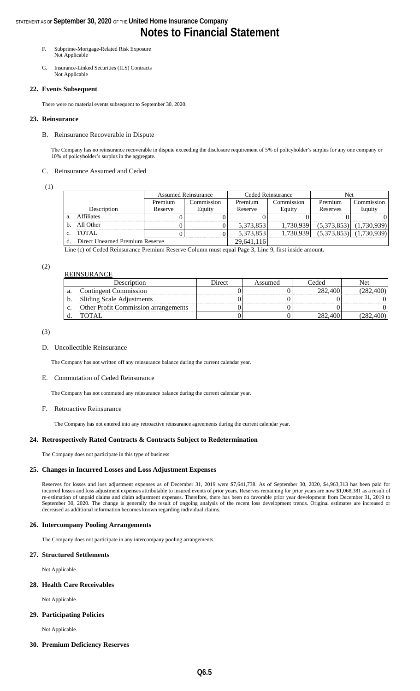## STATEMENT AS OF **September 30, 2020** OF THE **United Home Insurance Company Notes to Financial Statement**

- F. Subprime-Mortgage-Related Risk Exposure Not Applicable
- G. Insurance-Linked Securities (ILS) Contracts Not Applicable

#### **22. Events Subsequent**

There were no material events subsequent to September 30, 2020.

#### **23. Reinsurance**

#### B. Reinsurance Recoverable in Dispute

The Company has no reinsurance recoverable in dispute exceeding the disclosure requirement of 5% of policyholder's surplus for any one company or 10% of policyholder's surplus in the aggregate.

#### C. Reinsurance Assumed and Ceded

(1)

|                |                                 | <b>Assumed Reinsurance</b> |            |            | Ceded Reinsurance | Net      |                             |
|----------------|---------------------------------|----------------------------|------------|------------|-------------------|----------|-----------------------------|
|                |                                 | Premium                    | Commission | Premium    | Commission        | Premium  | Commission                  |
|                | Description                     | Reserve                    | Equity     | Reserve    | Equity            | Reserves | Equity                      |
|                | <b>Affiliates</b>               |                            |            |            |                   |          |                             |
| b.             | All Other                       |                            |            | 5,373,853  | 1.730.939         |          | $(5,373,853)$ $(1,730,939)$ |
| $\mathbf{c}$ . | <b>TOTAL</b>                    |                            |            | 5,373,853  | 1.730.939         |          | $(5,373,853)$ $(1,730,939)$ |
|                | Direct Unearned Premium Reserve |                            |            | 29,641,116 |                   |          |                             |

Line (c) of Ceded Reinsurance Premium Reserve Column must equal Page 3, Line 9, first inside amount.

#### (2) **DEINSURANCE**

| Description                                 | Direct | Assumed | ~eded   |          |
|---------------------------------------------|--------|---------|---------|----------|
| <b>Contingent Commission</b>                |        |         | 282,400 | 282,400) |
| Sliding Scale Adjustments                   |        |         |         |          |
| <b>Other Profit Commission arrangements</b> |        |         |         |          |
| TOTAL                                       |        |         | 282.400 |          |

#### (3)

#### D. Uncollectible Reinsurance

The Company has not written off any reinsurance balance during the current calendar year.

#### E. Commutation of Ceded Reinsurance

The Company has not commuted any reinsurance balance during the current calendar year.

#### F. Retroactive Reinsurance

The Company has not entered into any retroactive reinsurance agreements during the current calendar year.

#### **24. Retrospectively Rated Contracts & Contracts Subject to Redetermination**

The Company does not participate in this type of business

#### **25. Changes in Incurred Losses and Loss Adjustment Expenses**

Reserves for losses and loss adjustment expenses as of December 31, 2019 were \$7,641,738. As of September 30, 2020, \$4,963,313 has been paid for incurred losses and loss adjustment expenses attributable to insured events of prior years. Reserves remaining for prior years are now \$1,068,381 as a result of re-estimation of unpaid claims and claim adjustment expenses. Therefore, there has been no favorable prior year development from December 31, 2019 to September 30, 2020. The change is generally the result of ongoing analysis of the recent loss development trends. Original estimates are increased or decreased as additional information becomes known regarding individual claims.

#### **26. Intercompany Pooling Arrangements**

The Company does not participate in any intercompany pooling arrangements.

#### **27. Structured Settlements**

Not Applicable.

#### **28. Health Care Receivables**

Not Applicable.

#### **29. Participating Policies**

Not Applicable.

#### **30. Premium Deficiency Reserves**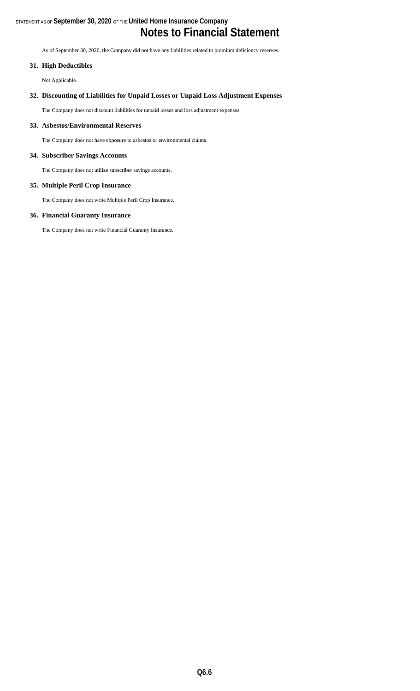# **Notes to Financial Statement**

As of September 30, 2020, the Company did not have any liabilities related to premium deficiency reserves.

#### **31. High Deductibles**

Not Applicable.

#### **32. Discounting of Liabilities for Unpaid Losses or Unpaid Loss Adjustment Expenses**

The Company does not discount liabilities for unpaid losses and loss adjustment expenses.

#### **33. Asbestos/Environmental Reserves**

The Company does not have exposure to asbestos or environmental claims.

#### **34. Subscriber Savings Accounts**

The Company does not utilize subscriber savings accounts.

#### **35. Multiple Peril Crop Insurance**

The Company does not write Multiple Peril Crop Insurance.

#### **36. Financial Guaranty Insurance**

The Company does not write Financial Guaranty Insurance.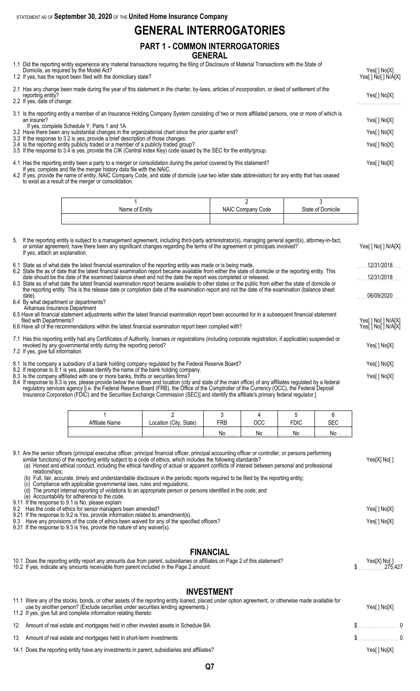## **GENERAL INTERROGATORIES**

## **PART 1 - COMMON INTERROGATORIES GENERAL**

1.1 Did the reporting entity experience any material transactions requiring the filing of Disclosure of Material Transactions with the State of

| Domicile, as required by the Model Act?<br>1.2 If yes, has the report been filed with the domiciliary state?                                                                                                                                                                                                                                                                                                                                                                                                                                                                                                               | Yes[] No[X]<br>Yes[ ] No[ ] N/A[X]         |
|----------------------------------------------------------------------------------------------------------------------------------------------------------------------------------------------------------------------------------------------------------------------------------------------------------------------------------------------------------------------------------------------------------------------------------------------------------------------------------------------------------------------------------------------------------------------------------------------------------------------------|--------------------------------------------|
| 2.1 Has any change been made during the year of this statement in the charter, by-laws, articles of incorporation, or deed of settlement of the<br>reporting entity?<br>2.2 If yes, date of change:                                                                                                                                                                                                                                                                                                                                                                                                                        | Yes[ ] No[X]                               |
| 3.1 Is the reporting entity a member of an Insurance Holding Company System consisting of two or more affiliated persons, one or more of which is<br>an insurer?<br>If yes, complete Schedule Y, Parts 1 and 1A.<br>3.2 Have there been any substantial changes in the organizational chart since the prior quarter end?<br>3.3 If the response to 3.2 is yes, provide a brief description of those changes:<br>3.4 Is the reporting entity publicly traded or a member of a publicly traded group?<br>3.5 If the response to 3.4 is yes, provide the CIK (Central Index Key) code issued by the SEC for the entity/group. | Yes[ ] No[X]<br>Yes[] No[X]<br>Yes[] No[X] |
| 4.1 Has the reporting entity been a party to a merger or consolidation during the period covered by this statement?                                                                                                                                                                                                                                                                                                                                                                                                                                                                                                        | Yes[]No[X]                                 |

If yes, complete and file the merger history data file with the NAIC. 4.2 If yes, provide the name of entity, NAIC Company Code, and state of domicile (use two letter state abbreviation) for any entity that has ceased to exist as a result of the merger or consolidation.

| Name | Code | ')omicile |
|------|------|-----------|
|      |      |           |

| 5. If the reporting entity is subject to a management agreement, including third-party administrator(s), managing general agent(s), attorney-in-fact,<br>or similar agreement, have there been any significant changes regarding the terms of the agreement or principals involved?<br>If yes, attach an explanation.                                                                                                                                                            | Yes[] No[] N/A[X]                          |
|----------------------------------------------------------------------------------------------------------------------------------------------------------------------------------------------------------------------------------------------------------------------------------------------------------------------------------------------------------------------------------------------------------------------------------------------------------------------------------|--------------------------------------------|
| 6.1 State as of what date the latest financial examination of the reporting entity was made or is being made.                                                                                                                                                                                                                                                                                                                                                                    | 12/31/2018                                 |
| 6.2 State the as of date that the latest financial examination report became available from either the state of domicile or the reporting entity. This<br>date should be the date of the examined balance sheet and not the date the report was completed or released.                                                                                                                                                                                                           | 12/31/2018                                 |
| 6.3 State as of what date the latest financial examination report became available to other states or the public from either the state of domicile or<br>the reporting entity. This is the release date or completion date of the examination report and not the date of the examination (balance sheet<br>date).                                                                                                                                                                | 06/09/2020                                 |
| 6.4 By what department or departments?<br>Arkansas Insurance Department                                                                                                                                                                                                                                                                                                                                                                                                          |                                            |
| 6.5 Have all financial statement adjustments within the latest financial examination report been accounted for in a subsequent financial statement                                                                                                                                                                                                                                                                                                                               |                                            |
| filed with Departments?<br>6.6 Have all of the recommendations within the latest financial examination report been complied with?                                                                                                                                                                                                                                                                                                                                                | Yes[ ] No[ ] N/A[X]<br>Yes[ ] No[ ] N/A[X] |
| 7.1 Has this reporting entity had any Certificates of Authority, licenses or registrations (including corporate registration, if applicable) suspended or<br>revoked by any governmental entity during the reporting period?<br>7.2 If yes, give full information                                                                                                                                                                                                                |                                            |
| 8.1 Is the company a subsidiary of a bank holding company regulated by the Federal Reserve Board?                                                                                                                                                                                                                                                                                                                                                                                |                                            |
| 8.2 If response to 8.1 is yes, please identify the name of the bank holding company.<br>8.3 Is the company affiliated with one or more banks, thrifts or securities firms?<br>8.4 If response to 8.3 is yes, please provide below the names and location (city and state of the main office) of any affiliates regulated by a federal<br>requisitory convices agency Lie the Eoderal Peserve Poard (EDD) the Office of the Comptreller of the Currency (OCC) the Eoderal Deposit | Yes[] No[X]                                |

regulatory services agency [i.e. the Federal Reserve Board (FRB), the Office of the Comptroller of the Currency (OCC), the Federal Deposit Insurance Corporation (FDIC) and the Securities Exchange Commission (SEC)] and identify the affiliate's primary federal regulator.]

| State) | ™RΒ |          |              |
|--------|-----|----------|--------------|
|        |     | NO    NO | 1. <b>No</b> |

| 9.1 Are the senior officers (principal executive officer, principal financial officer, principal accounting officer or controller, or persons performing<br>similar functions) of the reporting entity subject to a code of ethics, which includes the following standards?<br>(a) Honest and ethical conduct, including the ethical handling of actual or apparent conflicts of interest between personal and professional<br>relationships:<br>(b) Full, fair, accurate, timely and understandable disclosure in the periodic reports required to be filed by the reporting entity;<br>Compliance with applicable governmental laws, rules and regulations;<br>(c<br>The prompt internal reporting of violations to an appropriate person or persons identified in the code; and<br>(d)<br>(e) Accountability for adherence to the code. | Yes[X] No[] |
|--------------------------------------------------------------------------------------------------------------------------------------------------------------------------------------------------------------------------------------------------------------------------------------------------------------------------------------------------------------------------------------------------------------------------------------------------------------------------------------------------------------------------------------------------------------------------------------------------------------------------------------------------------------------------------------------------------------------------------------------------------------------------------------------------------------------------------------------|-------------|
| 9.11 If the response to 9.1 is No, please explain:<br>9.2 Has the code of ethics for senior managers been amended?                                                                                                                                                                                                                                                                                                                                                                                                                                                                                                                                                                                                                                                                                                                         | Yes[] No[X] |
| 9.21 If the response to 9.2 is Yes, provide information related to amendment(s).<br>9.3 Have any provisions of the code of ethics been waived for any of the specified officers?                                                                                                                                                                                                                                                                                                                                                                                                                                                                                                                                                                                                                                                           | Yes[] No[X] |
| 9.31 If the response to 9.3 is Yes, provide the nature of any waiver(s).<br><b>FINANCIAL</b>                                                                                                                                                                                                                                                                                                                                                                                                                                                                                                                                                                                                                                                                                                                                               |             |
| 10.1 Does the reporting entity report any amounts due from parent, subsidiaries or affiliates on Page 2 of this statement?                                                                                                                                                                                                                                                                                                                                                                                                                                                                                                                                                                                                                                                                                                                 | Yes[X] No[] |

#### 10.2 If yes, indicate any amounts receivable from parent included in the Page 2 amount: \$. . . . . . . . . . . . . . . 275,427

## **INVESTMENT** 11.1 Were any of the stocks, bonds, or other assets of the reporting entity loaned, placed under option agreement, or otherwise made available for use by another person? (Exclude securities under securities lending agreements.) Yes[ ] No[X] 11.2 If yes, give full and complete information relating thereto: 12. Amount of real estate and mortgages held in other invested assets in Schedule BA: \$. . . . . . . . . . . . . . . . . . . . . . . 0 13. Amount of real estate and mortgages held in short-term investments:  $\emptyset$ 14.1 Does the reporting entity have any investments in parent, subsidiaries and affiliates? Yeses and a reporting the state of the Ves[] No[X]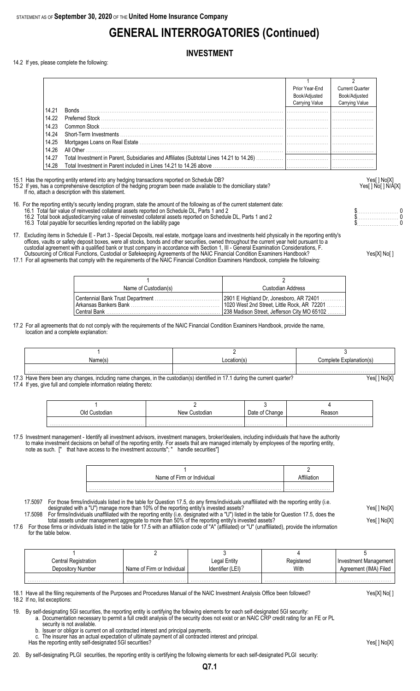# **GENERAL INTERROGATORIES (Continued)**

## **INVESTMENT**

14.2 If yes, please complete the following:

|       |                                                                                                                                                                                                                                                                       | Prior Year-End<br>Book/Adjusted | <b>Current Quarter</b><br>Book/Adjusted |
|-------|-----------------------------------------------------------------------------------------------------------------------------------------------------------------------------------------------------------------------------------------------------------------------|---------------------------------|-----------------------------------------|
|       |                                                                                                                                                                                                                                                                       | Carrying Value                  | Carrying Value                          |
| 14.21 | Bonds                                                                                                                                                                                                                                                                 |                                 |                                         |
| 14.22 | Preferred Stock                                                                                                                                                                                                                                                       |                                 |                                         |
| 14.23 | Common Stock                                                                                                                                                                                                                                                          |                                 |                                         |
| 14.24 |                                                                                                                                                                                                                                                                       |                                 |                                         |
| 14.25 |                                                                                                                                                                                                                                                                       |                                 |                                         |
| 14.26 | All Other                                                                                                                                                                                                                                                             |                                 |                                         |
| 14.27 |                                                                                                                                                                                                                                                                       |                                 |                                         |
| 14.28 | Total Investment in Parent included in Lines 14.21 to 14.26 above                                                                                                                                                                                                     |                                 |                                         |
|       | 15.1 Has the reporting entity entered into any hedging transactions reported on Schedule DB?<br>15.2 If yes, has a comprehensive description of the hedging program been made available to the domiciliary state?<br>If no, attach a description with this statement. |                                 | Yes[ ] No[X]<br>Yes[1No[1N/A[X]         |

16. For the reporting entity's security lending program, state the amount of the following as of the current statement date: 16.1 Total fair value of reinvested collateral assets reported on Schedule DL, Parts 1 and 2 \$. . . . . . . . . . . . . . . . . . . . . . . 0

- 16.2 Total book adjusted/carrying value of reinvested collateral assets reported on Schedule DL, Parts 1 and 2 \$. . . . . . . . . . . . . . . . . . . . . . . 0
- 16.3 Total payable for securities lending reported on the liability page \$. . . . . . . . . . . . . . . . . . . . . . . 0
- 17. Excluding items in Schedule E Part 3 Special Deposits, real estate, mortgage loans and investments held physically in the reporting entity's offices, vaults or safety deposit boxes, were all stocks, bonds and other securities, owned throughout the current year held pursuant to a custodial agreement with a qualified bank or trust company in accordance with Section 1, III - General Examination Considerations, F. Outsourcing of Critical Functions, Custodial or Safekeeping Agreements of the NAIC Financial Condition Examiners Handbook? Yes[X] No[ ]
- 17.1 For all agreements that comply with the requirements of the NAIC Financial Condition Examiners Handbook, complete the following:

| Name of Custodian(s) | Custodian Address                                                                          |
|----------------------|--------------------------------------------------------------------------------------------|
|                      | $ 2901 \text{ E}$ Highland Dr, Jonesboro, AR 72401                                         |
|                      | 1020 West 2nd Street, Little Rock, AR 72201<br>238 Madison Street, Jefferson City MO 65102 |

17.2 For all agreements that do not comply with the requirements of the NAIC Financial Condition Examiners Handbook, provide the name, location and a complete explanation:

| Name(s | ncationi | Complete Explanation(<br><b>anauonis</b> |
|--------|----------|------------------------------------------|
|        |          |                                          |
|        |          |                                          |

17.3 Have there been any changes, including name changes, in the custodian(s) identified in 17.1 during the current quarter? Yesell No[X] 17.4 If yes, give full and complete information relating thereto:

| hlC | 1011<br>∵ustodian | מזפו<br>ി 1 |  |
|-----|-------------------|-------------|--|
|     |                   |             |  |

17.5 Investment management - Identify all investment advisors, investment managers, broker/dealers, including individuals that have the authority to make investment decisions on behalf of the reporting entity. For assets that are managed internally by employees of the reporting entity, note as such. [" that have access to the investment accounts"; " handle securities"]

| Name of Firm or Individual |  |
|----------------------------|--|
|                            |  |

17.5097 For those firms/individuals listed in the table for Question 17.5, do any firms/individuals unaffiliated with the reporting entity (i.e. designated with a "U") manage more than 10% of the reporting entity's invested assets? Yese Yeses are than 10% of the reporting entity's invested assets?

17.5098 For firms/individuals unaffiliated with the reporting entity (i.e. designated with a "U") listed in the table for Question 17.5, does the total assets under management aggregate to more than 50% of the reporting entity's invested assets? Yes[ ] No[X] 17.6 For those firms or individuals listed in the table for 17.5 with an affiliation code of "A" (affiliated) or "U" (unaffiliated), provide the information

for the table below.

| Central Registration |                            | ∟egal Entity     | Registered | Investment Management |
|----------------------|----------------------------|------------------|------------|-----------------------|
| Depository Number    | Name of Firm or Individual | Identifier (LEI) | With       | Agreement (IMA) Filed |
|                      |                            |                  |            |                       |

18.1 Have all the filing requirements of the Purposes and Procedures Manual of the NAIC Investment Analysis Office been followed? Yes[X] No[ ] 18.2 If no, list exceptions:

19. By self-designating 5GI securities, the reporting entity is certifying the following elements for each self-designated 5GI security:

a. Documentation necessary to permit a full credit analysis of the security does not exist or an NAIC CRP credit rating for an FE or PL

security is not available. b. Issuer or obligor is current on all contracted interest and principal payments.

Has the reporting entity self-designated 5GI securities? Yes[] No[X]

20. By self-designating PLGI securities, the reporting entity is certifying the following elements for each self-designated PLGI security:

The insurer has an actual expectation of ultimate payment of all contracted interest and principal.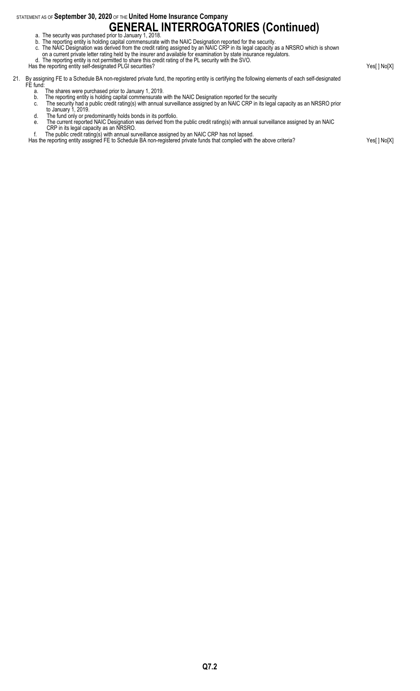# **GENERAL INTERROGATORIES (Continued)** a. The security was purchased prior to January 1, 2018.

- b. The reporting entity is holding capital commensurate with the NAIC Designation reported for the security.
- c. The NAIC Designation was derived from the credit rating assigned by an NAIC CRP in its legal capacity as a NRSRO which is shown
- on a current private letter rating held by the insurer and available for examination by state insurance regulators.
- d. The reporting entity is not permitted to share this credit rating of the PL security with the SVO.

Has the reporting entity self-designated PLGI securities? Yes[ ] No[X]

- 21. By assigning FE to a Schedule BA non-registered private fund, the reporting entity is certifying the following elements of each self-designated FE fund:
	- a. The shares were purchased prior to January 1, 2019.
	- b. The reporting entity is holding capital commensurate with the NAIC Designation reported for the security
	- c. The security had a public credit rating(s) with annual surveillance assigned by an NAIC CRP in its legal capacity as an NRSRO prior to January 1, 2019.
	- d. The fund only or predominantly holds bonds in its portfolio.
	- e. The current reported NAIC Designation was derived from the public credit rating(s) with annual surveillance assigned by an NAIC
	- CRP in its legal capacity as an NRSRO. f. The public credit rating(s) with annual surveillance assigned by an NAIC CRP has not lapsed.
	- Has the reporting entity assigned FE to Schedule BA non-registered private funds that complied with the above criteria? Yes[ ] No[X]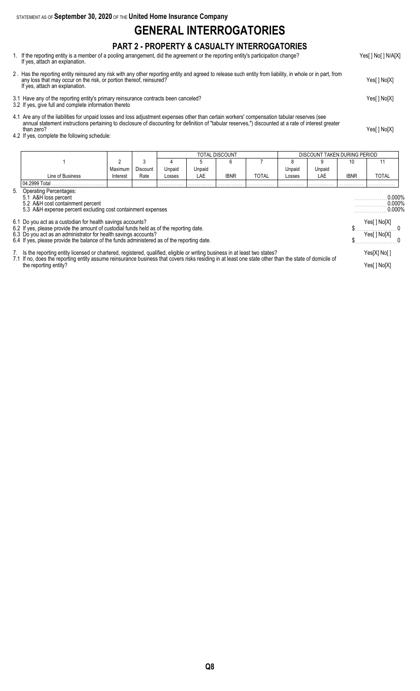# **GENERAL INTERROGATORIES**

## **PART 2 - PROPERTY & CASUALTY INTERROGATORIES**

- 1. If the reporting entity is a member of a pooling arrangement, did the agreement or the reporting entity's participation change? Yes[ ] No[ ] N/A[X] If yes, attach an explanation.
- 2 . Has the reporting entity reinsured any risk with any other reporting entity and agreed to release such entity from liability, in whole or in part, from any loss that may occur on the risk, or portion thereof, reinsured? Yes[ ] No[X] If yes, attach an explanation.
- 3.1 Have any of the reporting entity's primary reinsurance contracts been canceled? Yes[ ] No[X]
- 3.2 If yes, give full and complete information thereto
- 4.1 Are any of the liabilities for unpaid losses and loss adjustment expenses other than certain workers' compensation tabular reserves (see annual statement instructions pertaining to disclosure of discounting for definition of "tabular reserves,") discounted at a rate of interest greater than zero? Yes[ ] No[X]
- 4.2 If yes, complete the following schedule:

|                                                                                                                                                                                                                                                                                        |          |             |        |        | TOTAL DISCOUNT |              |        | DISCOUNT TAKEN DURING PERIOD |             |                               |  |
|----------------------------------------------------------------------------------------------------------------------------------------------------------------------------------------------------------------------------------------------------------------------------------------|----------|-------------|--------|--------|----------------|--------------|--------|------------------------------|-------------|-------------------------------|--|
|                                                                                                                                                                                                                                                                                        | 2        | 3           |        |        | 6              |              |        | 9                            | 10          | 11                            |  |
|                                                                                                                                                                                                                                                                                        | Maximum  | Discount    | Unpaid | Unpaid |                |              | Unpaid | Unpaid                       |             |                               |  |
| Line of Business                                                                                                                                                                                                                                                                       | Interest | Rate        | Losses | LAE    | <b>IBNR</b>    | <b>TOTAL</b> | Losses | LAE                          | <b>IBNR</b> | TOTAL                         |  |
| 04.2999 Total                                                                                                                                                                                                                                                                          |          |             |        |        |                |              |        |                              |             |                               |  |
| 5. Operating Percentages:<br>5.1 A&H loss percent<br>5.2 A&H cost containment percent<br>5.3 A&H expense percent excluding cost containment expenses                                                                                                                                   |          |             |        |        |                |              |        |                              |             | 0.000%<br>0.000%<br>$0.000\%$ |  |
| 6.1 Do you act as a custodian for health savings accounts?<br>6.2 If yes, please provide the amount of custodial funds held as of the reporting date.                                                                                                                                  |          |             |        |        |                |              |        |                              |             | Yes[ ] No[X]                  |  |
| 6.3 Do you act as an administrator for health savings accounts?                                                                                                                                                                                                                        |          |             |        |        |                |              |        |                              |             | Yes[ ] No[X]                  |  |
| 6.4 If yes, please provide the balance of the funds administered as of the reporting date.                                                                                                                                                                                             |          |             |        |        |                |              |        |                              |             |                               |  |
| 7. Is the reporting entity licensed or chartered, registered, qualified, eligible or writing business in at least two states?<br>7.1 If no, does the reporting entity assume reinsurance business that covers risks residing in at least one state other than the state of domicile of |          |             |        |        |                |              |        |                              |             | Yes[X] No[]                   |  |
| the reporting entity?                                                                                                                                                                                                                                                                  |          | Yes[] No[X] |        |        |                |              |        |                              |             |                               |  |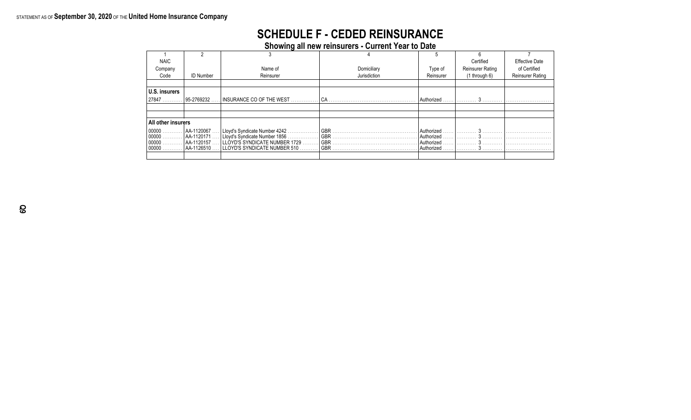# **SCHEDULE F - CEDED REINSURANCE**

**Showing all new reinsurers - Current Year to Date**

| <b>NAIC</b>        |                  |                                |              |            | Certified               | <b>Effective Date</b>   |
|--------------------|------------------|--------------------------------|--------------|------------|-------------------------|-------------------------|
| Company            |                  | Name of                        | Domiciliary  | Type of    | <b>Reinsurer Rating</b> | of Certified            |
| Code               | <b>ID Number</b> | Reinsurer                      | Jurisdiction | Reinsurer  | $(1$ through 6)         | <b>Reinsurer Rating</b> |
|                    |                  |                                |              |            |                         |                         |
| U.S. insurers      |                  |                                |              |            |                         |                         |
| 27847.             | 95-2769232       | INSURANCE CO OF THE WEST       | CA           | Authorized |                         |                         |
|                    |                  |                                |              |            |                         |                         |
|                    |                  |                                |              |            |                         |                         |
| All other insurers |                  |                                |              |            |                         |                         |
| 00000<br>.         | AA-1120067       | Lloyd's Syndicate Number 4242  | <b>GBR</b>   | Authorized |                         |                         |
| 00000              | AA-1120171       | Lloyd's Syndicate Number 1856  | <b>GBR</b>   | Authorized |                         |                         |
| 00000              | AA-1120157       | LLÓYD'S SYNDICATE NUMBER 1729. | <b>GBR</b>   | Authorized |                         |                         |
| 00000              | AA-1126510       | LLOYD'S SYNDICATE NUMBER 510.  | <b>GBR</b>   | Authorized |                         |                         |
|                    |                  |                                |              |            |                         |                         |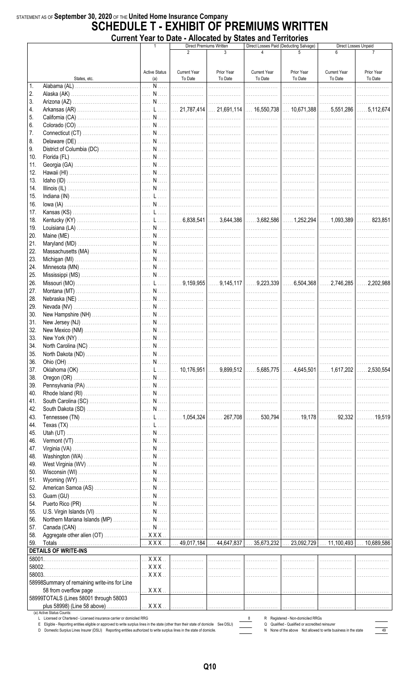# STATEMENT AS OF September 30, 2020 OF THE United Home Insurance Company<br>SCHEDULE T - EXHIBIT OF PREMIUMS WRITTEN Current Year to Date - Allocated by States and Territories

|        |                                                                                                                                                                                                                 |                         |                     | <b>vuu</b><br>Direct Premiums Written | oo unu Turnuudu     | Direct Losses Paid (Deducting Salvage)                                               |                                                                | Direct Losses Unpaid |
|--------|-----------------------------------------------------------------------------------------------------------------------------------------------------------------------------------------------------------------|-------------------------|---------------------|---------------------------------------|---------------------|--------------------------------------------------------------------------------------|----------------------------------------------------------------|----------------------|
|        |                                                                                                                                                                                                                 |                         | $\overline{2}$      | $\mathbf{3}$                          | 4                   |                                                                                      | 6                                                              |                      |
|        |                                                                                                                                                                                                                 |                         |                     |                                       |                     |                                                                                      |                                                                |                      |
|        |                                                                                                                                                                                                                 | <b>Active Status</b>    | <b>Current Year</b> | Prior Year                            | <b>Current Year</b> | Prior Year                                                                           | <b>Current Year</b>                                            | Prior Year           |
|        | States, etc.                                                                                                                                                                                                    | (a)                     | To Date             | To Date                               | To Date             | To Date                                                                              | To Date                                                        | To Date              |
| 1.     |                                                                                                                                                                                                                 |                         |                     |                                       | .                   | .                                                                                    | .                                                              | .                    |
| 2.     |                                                                                                                                                                                                                 |                         |                     |                                       |                     | .                                                                                    | .                                                              | .                    |
| 3.     |                                                                                                                                                                                                                 |                         |                     |                                       |                     |                                                                                      |                                                                | .                    |
| 4.     | Arkansas (AR) ……………………………………… L …… L…… 21,787,414 …… 21,691,114 …… 16,550,738 …… 10,671,388 …… 5,551,286 …… 5,112,674                                                                                           |                         |                     |                                       |                     |                                                                                      |                                                                |                      |
| 5.     |                                                                                                                                                                                                                 |                         |                     |                                       |                     |                                                                                      |                                                                |                      |
| 6.     |                                                                                                                                                                                                                 |                         |                     |                                       |                     |                                                                                      | <b>Contract Contract Contract Contract</b>                     |                      |
| 7.     |                                                                                                                                                                                                                 |                         |                     |                                       |                     |                                                                                      |                                                                | .                    |
| 8.     |                                                                                                                                                                                                                 |                         |                     |                                       |                     |                                                                                      |                                                                |                      |
| 9.     |                                                                                                                                                                                                                 |                         |                     |                                       |                     |                                                                                      |                                                                |                      |
| 10.    |                                                                                                                                                                                                                 |                         |                     |                                       |                     |                                                                                      |                                                                |                      |
| 11.    |                                                                                                                                                                                                                 |                         |                     |                                       |                     |                                                                                      |                                                                |                      |
| 12.    |                                                                                                                                                                                                                 |                         |                     |                                       |                     |                                                                                      |                                                                |                      |
|        |                                                                                                                                                                                                                 |                         |                     |                                       |                     |                                                                                      |                                                                |                      |
| 13.    |                                                                                                                                                                                                                 |                         |                     |                                       |                     |                                                                                      |                                                                | .                    |
| 14.    |                                                                                                                                                                                                                 |                         |                     |                                       |                     |                                                                                      |                                                                | .                    |
| 15.    |                                                                                                                                                                                                                 |                         |                     |                                       |                     | .                                                                                    |                                                                |                      |
| 16.    |                                                                                                                                                                                                                 |                         |                     |                                       |                     |                                                                                      |                                                                | .                    |
| 17.    |                                                                                                                                                                                                                 |                         |                     |                                       |                     |                                                                                      |                                                                |                      |
| 18.    |                                                                                                                                                                                                                 |                         |                     |                                       |                     |                                                                                      |                                                                |                      |
| 19.    |                                                                                                                                                                                                                 |                         |                     |                                       |                     |                                                                                      |                                                                | 1.                   |
| 20.    |                                                                                                                                                                                                                 |                         |                     |                                       |                     |                                                                                      |                                                                |                      |
| 21.    |                                                                                                                                                                                                                 |                         |                     |                                       |                     |                                                                                      |                                                                |                      |
| 22.    |                                                                                                                                                                                                                 |                         |                     |                                       |                     |                                                                                      |                                                                |                      |
| 23.    |                                                                                                                                                                                                                 |                         |                     |                                       |                     |                                                                                      |                                                                |                      |
| 24.    |                                                                                                                                                                                                                 |                         |                     |                                       |                     |                                                                                      |                                                                |                      |
| 25.    |                                                                                                                                                                                                                 |                         |                     |                                       |                     |                                                                                      |                                                                | .                    |
| 26.    |                                                                                                                                                                                                                 |                         |                     |                                       |                     |                                                                                      |                                                                |                      |
| 27.    |                                                                                                                                                                                                                 |                         |                     |                                       |                     |                                                                                      |                                                                | 1.                   |
| 28.    |                                                                                                                                                                                                                 |                         |                     |                                       |                     |                                                                                      |                                                                |                      |
| 29.    |                                                                                                                                                                                                                 |                         |                     |                                       |                     |                                                                                      |                                                                |                      |
| 30.    |                                                                                                                                                                                                                 |                         |                     |                                       |                     | .                                                                                    |                                                                | . <b>.</b> .         |
| 31.    |                                                                                                                                                                                                                 |                         |                     |                                       |                     |                                                                                      |                                                                | .                    |
| 32.    |                                                                                                                                                                                                                 |                         |                     |                                       |                     |                                                                                      |                                                                |                      |
| 33.    |                                                                                                                                                                                                                 |                         |                     |                                       |                     |                                                                                      |                                                                | .                    |
| 34.    | $\overline{N}$<br>North Carolina (NC)                                                                                                                                                                           |                         |                     |                                       |                     |                                                                                      |                                                                |                      |
| 35.    |                                                                                                                                                                                                                 |                         |                     |                                       |                     |                                                                                      |                                                                |                      |
|        |                                                                                                                                                                                                                 |                         |                     |                                       |                     |                                                                                      |                                                                |                      |
| 36.    |                                                                                                                                                                                                                 |                         |                     |                                       |                     |                                                                                      |                                                                | .                    |
| 37.    | Oklahoma (OK) ………………………………………… L…… L…… 10,176,951 …… 9,899,512 …… 5,685,775 …… 4,645,501 …… 1,617,202 …… 2,530,554                                                                                              |                         |                     |                                       |                     |                                                                                      |                                                                |                      |
| 38.    |                                                                                                                                                                                                                 |                         |                     |                                       |                     | .                                                                                    | .                                                              | .                    |
| 39.    |                                                                                                                                                                                                                 |                         |                     |                                       | .                   | .                                                                                    |                                                                |                      |
| 40.    |                                                                                                                                                                                                                 |                         |                     |                                       |                     | .                                                                                    | .                                                              |                      |
| 41.    |                                                                                                                                                                                                                 |                         |                     |                                       |                     |                                                                                      |                                                                |                      |
| 42.    |                                                                                                                                                                                                                 |                         |                     |                                       |                     | .                                                                                    |                                                                | .                    |
| 43.    | Tennessee (TN) ……………………………………… L …… L…… 1,054,324 ……… 267,708 ……… 530,794 ……… 19,178 …………92,332 ………… 19,519                                                                                                     |                         |                     |                                       |                     |                                                                                      |                                                                |                      |
| 44.    |                                                                                                                                                                                                                 |                         |                     |                                       |                     | .                                                                                    |                                                                | .                    |
| 45.    |                                                                                                                                                                                                                 |                         |                     |                                       |                     | .                                                                                    |                                                                | .                    |
| 46.    |                                                                                                                                                                                                                 |                         |                     |                                       |                     |                                                                                      |                                                                | .                    |
| 47.    |                                                                                                                                                                                                                 |                         |                     |                                       |                     |                                                                                      |                                                                | .                    |
| 48.    |                                                                                                                                                                                                                 |                         |                     |                                       |                     |                                                                                      |                                                                | .                    |
| 49.    |                                                                                                                                                                                                                 |                         |                     |                                       |                     | .                                                                                    |                                                                | .                    |
| 50.    |                                                                                                                                                                                                                 |                         |                     | .                                     | .                   | .                                                                                    |                                                                |                      |
| 51.    |                                                                                                                                                                                                                 |                         |                     |                                       | .                   | .                                                                                    | .                                                              |                      |
| 52.    |                                                                                                                                                                                                                 |                         |                     |                                       | .                   | .                                                                                    |                                                                |                      |
| 53.    |                                                                                                                                                                                                                 |                         |                     |                                       | .                   | .                                                                                    | .                                                              |                      |
| 54.    |                                                                                                                                                                                                                 |                         |                     |                                       | .                   | .                                                                                    | .                                                              |                      |
| 55.    |                                                                                                                                                                                                                 |                         |                     |                                       | .                   | .                                                                                    | .                                                              |                      |
| 56.    |                                                                                                                                                                                                                 |                         |                     |                                       |                     |                                                                                      |                                                                |                      |
| 57.    |                                                                                                                                                                                                                 |                         |                     |                                       |                     | .<br>.                                                                               | .<br>.                                                         | .<br>.               |
|        |                                                                                                                                                                                                                 |                         |                     |                                       |                     |                                                                                      |                                                                |                      |
| 58.    |                                                                                                                                                                                                                 |                         |                     |                                       |                     |                                                                                      |                                                                |                      |
| 59.    |                                                                                                                                                                                                                 |                         |                     |                                       |                     |                                                                                      |                                                                |                      |
|        | <b>DETAILS OF WRITE-INS</b>                                                                                                                                                                                     |                         |                     |                                       |                     |                                                                                      |                                                                |                      |
| 58001. |                                                                                                                                                                                                                 | $\ldots$ X X X $\ldots$ | .                   | .                                     | .                   | .                                                                                    |                                                                |                      |
| 58002. |                                                                                                                                                                                                                 | $\ldots$ X X X $\ldots$ | .                   | .                                     | .                   | .                                                                                    |                                                                |                      |
| 58003. |                                                                                                                                                                                                                 | $$ X X X $$             | .                   | .                                     | .                   | .                                                                                    | .                                                              |                      |
|        | 58998Summary of remaining write-ins for Line                                                                                                                                                                    |                         |                     |                                       |                     |                                                                                      |                                                                |                      |
|        | 58 from overflow page                                                                                                                                                                                           |                         |                     |                                       |                     | .                                                                                    | .                                                              |                      |
|        | 58999TOTALS (Lines 58001 through 58003                                                                                                                                                                          |                         |                     |                                       |                     |                                                                                      |                                                                |                      |
|        | plus 58998) (Line 58 above)                                                                                                                                                                                     | <b>XXX</b>              | .                   | . 1                                   | .                   | .                                                                                    | .                                                              |                      |
|        | (a) Active Status Counts:                                                                                                                                                                                       |                         |                     |                                       |                     |                                                                                      |                                                                |                      |
|        | L Licensed or Chartered - Licensed insurance carrier or domiciled RRG<br>E Eligible - Reporting entities eligible or approved to write surplus lines in the state (other than their state of domicile See DSLI) |                         |                     |                                       | 8                   | R Registered - Non-domiciled RRGs<br>Q Qualified - Qualified or accredited reinsurer |                                                                |                      |
|        | D Domestic Surplus Lines Insurer (DSLI) Reporting entities authorized to write surplus lines in the state of domicile.                                                                                          |                         |                     |                                       |                     |                                                                                      | N None of the above Not allowed to write business in the state | 49                   |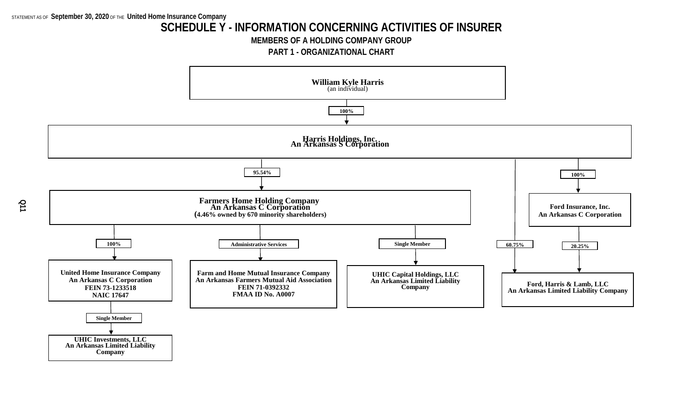## **SCHEDULE Y - INFORMATION CONCERNING ACTIVITIES OF INSURER**

**MEMBERS OF A HOLDING COMPANY GROUP**

**PART 1 - ORGANIZATIONAL CHART**

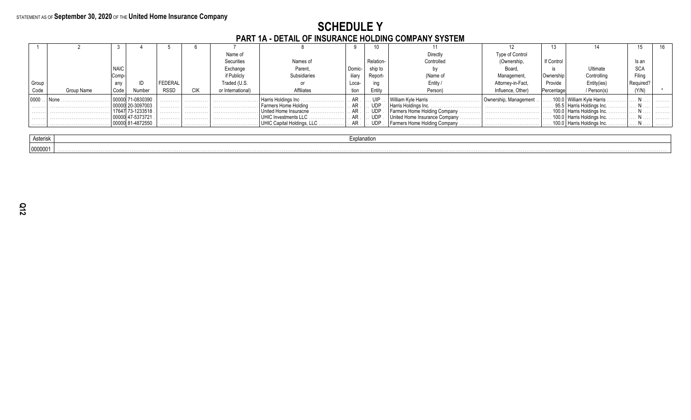# **SCHEDULE Y<br>PART 1A - DETAIL OF INSURANCE HOLDING COMPANY SYSTEM**

|       |            |      |                   |             |            | Name of           |                             |        |            | Directly                       | Type of Control       |            |                              |            |   |
|-------|------------|------|-------------------|-------------|------------|-------------------|-----------------------------|--------|------------|--------------------------------|-----------------------|------------|------------------------------|------------|---|
|       |            |      |                   |             |            | Securities        | Names of                    |        | Relation-  | Controlled                     | (Ownership,           | If Control |                              | Is an      |   |
|       |            |      |                   |             |            | Exchange          | Parent.                     | Domic- | ship to    |                                | <b>Board</b>          |            | Ultimate                     | <b>SCA</b> |   |
|       |            |      |                   |             |            | if Publicly       | Subsidiaries                | iliary | Report-    | (Name of                       | Management.           | Ownership  | Controlling                  | Filina     |   |
| Group |            | any  |                   | FEDERAL     |            | Fraded (U.S.      |                             | Loca-  |            | Entity                         | Attorney-in-Fact,     | Provide    | Entity(ies)                  |            |   |
| Code  | Group Name | Code | Number            | <b>RSSD</b> | <b>CIK</b> | or International) | Affiliates                  | tion   | Entity     | Person)                        | Influence, Other)     | Percentage | / Person(s)                  | (Y/N)      |   |
| 0000  |            |      |                   | .           | .          |                   | Harris Holdings Inc<br>.    |        | . UIP      | , William Kyle Harris          | Ownership, Management |            | 100.0 William Kyle Harris.   |            |   |
|       |            |      | 20-3097003        | .           | .          |                   | l Farmers Home Holding<br>. |        | <b>UDP</b> | Harris Holdings Inc.           |                       |            | 95.5 Harris Holdings Inc.    |            |   |
|       |            |      | 173-1233518       | .           |            |                   | United Home Insuracne       |        | <b>UDP</b> | Farmers Home Holding Company   |                       |            | 100.0   Harris Holdings Inc. |            |   |
|       |            |      | 7-537372          | .           | .          |                   | ∣ UHIC Investments LLC .    |        | <b>UDF</b> | United Home Insurance Company. |                       |            | 100.0   Harris Holdings Inc. |            |   |
|       |            |      | 100000 81-4872550 | .           | .          |                   | UHIC Capital Holdings, LLC. |        | . UDP      | Farmers Home Holding Company   |                       |            | .100.0   Harris Holdings Inc |            | . |
|       |            |      |                   |             |            |                   |                             |        |            |                                |                       |            |                              |            |   |

| Asterisk | xplanatıo |
|----------|-----------|
| 0000001  |           |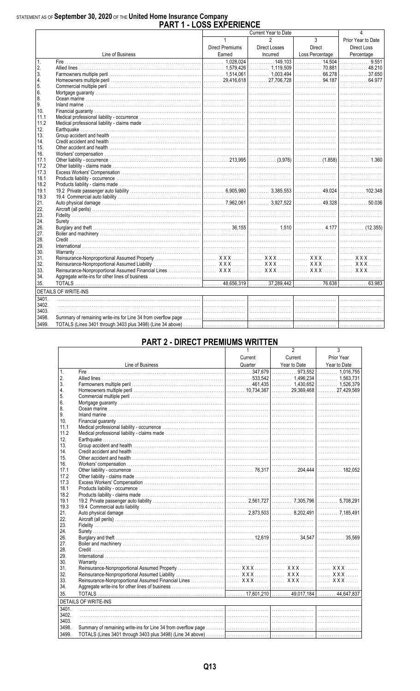# STATEMENT AS OF September 30, 2020 OF THE United Home Insurance Company<br>PART 1 - LOSS EXPERIENCE

|                 |                                                                                                                       | FANT THUYY EAFENIENVE  |                      |                 | 4                                    |
|-----------------|-----------------------------------------------------------------------------------------------------------------------|------------------------|----------------------|-----------------|--------------------------------------|
|                 |                                                                                                                       |                        | Current Year to Date |                 |                                      |
|                 |                                                                                                                       | $\mathbf{1}$           | $\mathfrak{p}$       | $\overline{3}$  | Prior Year to Date                   |
|                 |                                                                                                                       | <b>Direct Premiums</b> | Direct Losses        | Direct          | Direct Loss                          |
|                 | Line of Business                                                                                                      | Earned                 | Incurred             | Loss Percentage | Percentage                           |
| $\mathbf{1}$ .  |                                                                                                                       |                        |                      |                 |                                      |
| 2.              |                                                                                                                       |                        |                      |                 | . 48.210                             |
| 3.              |                                                                                                                       |                        |                      |                 | $\ldots \ldots \ldots \ldots 37.650$ |
| 4.              |                                                                                                                       |                        |                      |                 | . 64.977                             |
| 5.              |                                                                                                                       |                        |                      |                 |                                      |
| 6.              |                                                                                                                       |                        |                      |                 |                                      |
| 8.              |                                                                                                                       |                        |                      |                 |                                      |
| 9.              |                                                                                                                       |                        |                      |                 |                                      |
| 10.             |                                                                                                                       |                        |                      |                 |                                      |
| 11.1            |                                                                                                                       |                        |                      |                 |                                      |
| 11.2            |                                                                                                                       |                        |                      |                 |                                      |
| 12.             |                                                                                                                       |                        |                      |                 |                                      |
| 13.             |                                                                                                                       |                        |                      |                 |                                      |
| 14.             |                                                                                                                       |                        |                      |                 |                                      |
| 15.             |                                                                                                                       |                        |                      |                 |                                      |
| 16.             |                                                                                                                       |                        |                      |                 |                                      |
| 17.1            |                                                                                                                       |                        |                      |                 |                                      |
| 17.2            |                                                                                                                       |                        |                      |                 |                                      |
| 17.3            |                                                                                                                       |                        |                      |                 |                                      |
| 18.1            |                                                                                                                       |                        |                      |                 |                                      |
| 18.2            |                                                                                                                       |                        |                      |                 |                                      |
| 19.1            |                                                                                                                       |                        |                      |                 |                                      |
| 19.3            |                                                                                                                       |                        |                      |                 |                                      |
| 21.             |                                                                                                                       |                        |                      |                 |                                      |
| 22.             |                                                                                                                       |                        |                      |                 |                                      |
| 23.             |                                                                                                                       |                        |                      |                 |                                      |
| 24.             |                                                                                                                       |                        |                      |                 |                                      |
| 26.             |                                                                                                                       |                        |                      |                 |                                      |
| 27.             |                                                                                                                       |                        |                      |                 |                                      |
| 28.             |                                                                                                                       |                        |                      |                 |                                      |
| 29.             |                                                                                                                       |                        |                      |                 |                                      |
| 30 <sub>1</sub> |                                                                                                                       |                        |                      |                 |                                      |
| 31.             |                                                                                                                       |                        |                      |                 |                                      |
| 32.             |                                                                                                                       |                        |                      |                 | XXX                                  |
| 33.             |                                                                                                                       |                        |                      |                 |                                      |
| 34.             |                                                                                                                       |                        |                      |                 |                                      |
| 35.             |                                                                                                                       |                        |                      |                 |                                      |
|                 | <b>DETAILS OF WRITE-INS</b>                                                                                           |                        |                      |                 |                                      |
| 3401.           | <u> 2003 - Andrea Andrea Andrea Andrea Andrea Andrea Andrea Andrea Andrea Andrea Andrea Andrea Andrea Andrea Andr</u> |                        |                      |                 |                                      |
| 3402.           |                                                                                                                       |                        |                      |                 |                                      |
| 3403.           |                                                                                                                       |                        |                      |                 |                                      |
| 3498.           |                                                                                                                       |                        |                      |                 |                                      |
|                 |                                                                                                                       |                        |                      |                 |                                      |
| 3499.           |                                                                                                                       |                        |                      |                 |                                      |

## **PART 2 - DIRECT PREMIUMS WRITTEN**

|                 |                                                                                |         | z       | J          |
|-----------------|--------------------------------------------------------------------------------|---------|---------|------------|
|                 |                                                                                | Current | Current | Prior Year |
|                 |                                                                                |         |         |            |
| $\mathbf{1}$ .  |                                                                                |         |         |            |
| 2.              |                                                                                |         |         |            |
| 3.              |                                                                                |         |         |            |
| 4.              |                                                                                |         |         |            |
| 5.              |                                                                                |         |         |            |
| 6.              |                                                                                |         |         |            |
| 8.              |                                                                                |         |         |            |
| 9.              |                                                                                |         |         |            |
| 10 <sub>1</sub> |                                                                                |         |         |            |
| 11.1            |                                                                                |         |         |            |
| 11.2            |                                                                                |         |         |            |
| 12.             |                                                                                |         |         |            |
| 13.             |                                                                                |         |         |            |
| 14.             |                                                                                |         |         |            |
| 15.             |                                                                                |         |         |            |
| 16.             |                                                                                |         |         |            |
| 17.1            |                                                                                |         |         |            |
| 17.2            |                                                                                |         |         |            |
| 17.3            |                                                                                |         |         |            |
| 18.1            |                                                                                |         |         |            |
| 18.2            |                                                                                |         |         |            |
| 19.1            |                                                                                |         |         |            |
| 19.3            |                                                                                |         |         |            |
| 21.             |                                                                                |         |         |            |
| 22.             |                                                                                |         |         |            |
| 23.             |                                                                                |         |         |            |
| 24.             |                                                                                |         |         |            |
| 26.             |                                                                                |         |         |            |
| 27.             |                                                                                |         |         |            |
| 28.             |                                                                                |         |         |            |
| 29.             |                                                                                |         |         |            |
| 30.             |                                                                                |         |         |            |
| 31.             |                                                                                |         |         |            |
| 32.             |                                                                                |         |         |            |
| 33.             |                                                                                |         |         |            |
| 34.             |                                                                                |         |         |            |
|                 |                                                                                |         |         |            |
| 35.             |                                                                                |         |         |            |
|                 | <b>DETAILS OF WRITE-INS</b><br><u> 1980 - Andrea Amerikaanse kommunister (</u> |         |         |            |
| 3401.           |                                                                                |         |         |            |
| 3402.           |                                                                                |         |         |            |
| 3403.           |                                                                                |         |         |            |
| 3498.           |                                                                                |         |         |            |
| 3499.           |                                                                                |         |         |            |
|                 |                                                                                |         |         |            |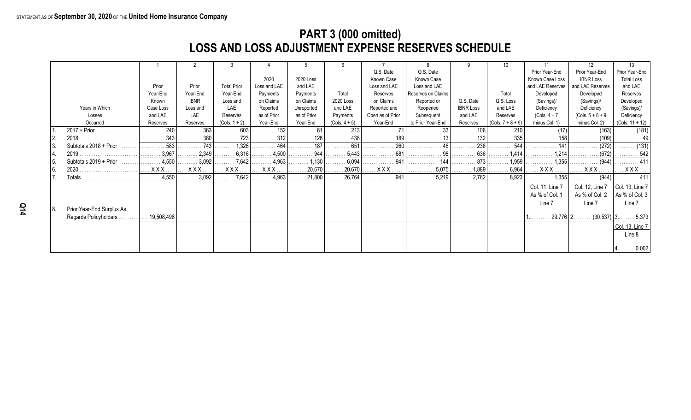## **PART 3 (000 omitted) LOSS AND LOSS ADJUSTMENT EXPENSE RESERVES SCHEDULE**

|      |                           |            |                           |                              |                            |             |                       |                  |                    |                  |                       |                  | 12                       | 13                 |
|------|---------------------------|------------|---------------------------|------------------------------|----------------------------|-------------|-----------------------|------------------|--------------------|------------------|-----------------------|------------------|--------------------------|--------------------|
|      |                           |            |                           |                              |                            |             |                       | Q.S. Date        | Q.S. Date          |                  |                       | Prior Year-End   | Prior Year-End           | Prior Year-End     |
|      |                           |            |                           |                              | 2020                       | 2020 Loss   |                       | Known Case       | Known Case         |                  |                       | Known Case Loss  | <b>IBNR Loss</b>         | <b>Total Loss</b>  |
|      |                           | Prior      | Prior                     | <b>Total Prior</b>           | Loss and LAE               | and LAE     |                       | Loss and LAE     | Loss and LAE       |                  |                       | and LAE Reserves | and LAE Reserves         | and LAE            |
|      |                           | Year-End   | Year-End                  | Year-End                     | Payments                   | Payments    | Total                 | Reserves         | Reserves on Claims |                  | Total                 | Developed        | Developed                | Reserves           |
|      |                           | Known      | <b>IBNR</b>               | Loss and                     | on Claims                  | on Claims   | 2020 Loss             | on Claims        | Reported or        | Q.S. Date        | Q.S. Loss             | (Savings)/       | (Savings)/               | Developed          |
|      | Years in Which            | Case Loss  | Loss and                  | LAE                          | Reported                   | Unreported  | and LAE               | Reported and     | Reopened           | <b>IBNR Loss</b> | and LAE               | Deficiency       | Deficiency               | (Savings)/         |
|      | Losses                    | and LAE    | LAE                       | Reserves                     | as of Prior                | as of Prior | Payments              | Open as of Prior | Subsequent         | and LAE          | Reserves              | $(Cols. 4 + 7)$  | $(Cols. 5 + 8 + 9)$      | Deficiency         |
|      | Occurred                  | Reserves   | Reserves                  | $(Cols. 1 + 2)$              | Year-End                   | Year-End    | $(Cols. 4 + 5)$       | Year-End         | to Prior Year-End  | Reserves         | $(Cols. 7 + 8 + 9)$   | minus Col. 1)    | minus Col. 2)            | (Cols. $11 + 12$ ) |
|      | 2017 + Prior              | 240        | 363                       | 603                          | 152                        | 61          | 213                   |                  | 33                 | 106              | 210                   | (17)             | (163)                    |                    |
|      | 2018                      | 343        | 380<br>.                  | 723<br>.                     | . 312                      | 126<br>.    | . 438                 | 189<br>.         |                    | 132              | 335<br>.              | 158              | (109)<br>.               |                    |
|      | Subtotals 2018 + Prior.   | 583        | 743                       | 1,326                        | $\ldots \ldots \ldots 464$ | 187         | 651                   | 260              |                    | 238              | 544                   | . 141            | (272)                    | $\ldots$ (131)     |
|      |                           | 3,967      | 2,349                     | 6,316                        | 4,500                      | . 944       | 5,443                 | 681              |                    | 636              | 1.414                 | 1,214            | (672)                    |                    |
|      | Subtotals 2019 + Prior.   | . $4,550$  | $\overline{\cdots}$ 3,092 | $\ldots \ldots \ldots$ 7,642 | $\ldots \ldots 4,963$      | . 1,130     | $\ldots \ldots 6,094$ | . 941            | . 144              | . 873            | $\ldots \ldots 1,959$ |                  | $\ldots$ (944)           | $\ldots$ 411       |
| l 6. | 2020                      | XXX.       | <b>XXX</b>                | <b>XXX</b>                   | <b>X X X</b> .             | 20,670<br>. | 20,670                | $\ldots$ $XXX$   | 5,075<br>.         | . 1,889          | . 6,964               | XXX              |                          | $XXX$              |
|      | . Fotals                  | . $4,550$  | .3,092                    | . 7,642                      | $\ldots$ 4,963             | .21,800     | .26,764               | 941              | 5,219              | 2,762            | 8,923                 | 1,355            |                          | . 411              |
|      |                           |            |                           |                              |                            |             |                       |                  |                    |                  |                       | Col. 11, Line 7  | Col. 12, Line 7          | Col. 13, Line 7    |
|      |                           |            |                           |                              |                            |             |                       |                  |                    |                  |                       | As % of Col. 1   | As % of Col. 2           | As % of Col. $3$   |
|      |                           |            |                           |                              |                            |             |                       |                  |                    |                  |                       | Line 7           | Line 7                   | Line 7             |
| 18.  | Prior Year-End Surplus As |            |                           |                              |                            |             |                       |                  |                    |                  |                       |                  |                          |                    |
|      | Regards Policyholders     | 19,508,498 |                           |                              |                            |             |                       |                  |                    |                  |                       |                  | $29.776$   2<br>(30.537) | .5.373             |
|      |                           |            |                           |                              |                            |             |                       |                  |                    |                  |                       |                  |                          | Col. 13, Line 7    |
|      |                           |            |                           |                              |                            |             |                       |                  |                    |                  |                       |                  |                          | Line 8             |
|      |                           |            |                           |                              |                            |             |                       |                  |                    |                  |                       |                  |                          |                    |
|      |                           |            |                           |                              |                            |             |                       |                  |                    |                  |                       |                  |                          | .0.002             |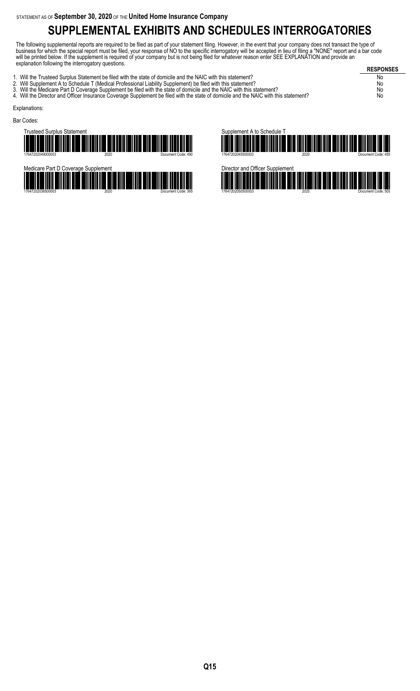# **SUPPLEMENTAL EXHIBITS AND SCHEDULES INTERROGATORIES**

The following supplemental reports are required to be filed as part of your statement filing. However, in the event that your company does not transact the type of business for which the special report must be filed, your response of NO to the specific interrogatory will be accepted in lieu of filing a "NONE" report and a bar code will be printed below. If the supplement is required of your company but is not being filed for whatever reason enter SEE EXPLANATION and provide an explanation following the interrogatory questions.

**RESPONSES** 1. Will the Trusteed Surplus Statement be filed with the state of domicile and the NAIC with this statement? No 2. Will Supplement A to Schedule T (Medical Professional Liability Supplement) be filed with this statement? No 3. Will the Medicare Part D Coverage Supplement be filed with the state of domicile and the NAIC with this statement? No 3. Will the Medicare Part D Coverage Supplement be filed with the state of domicile and the NAIC with this statement?<br>4. Will the Director and Officer Insurance Coverage Supplement be filed with the state of domicile and t Explanations: Bar Codes:







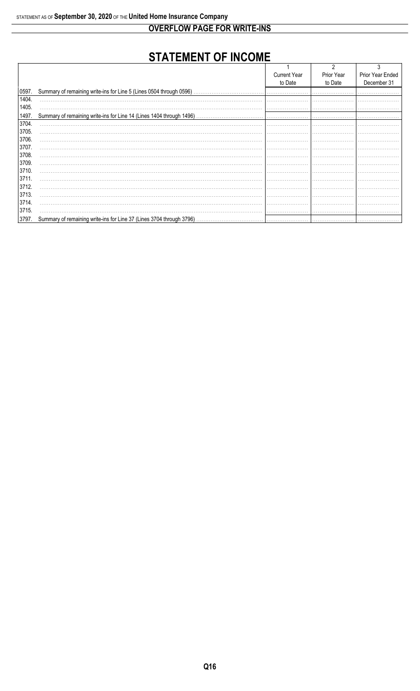**OVERFLOW PAGE FOR WRITE-INS** 

# **STATEMENT OF INCOME**

|       |                                                                       | <b>Current Year</b> | Prior Year | Prior Year Ended |
|-------|-----------------------------------------------------------------------|---------------------|------------|------------------|
|       |                                                                       | to Date             | to Date    | December 31      |
| 0597. | Summary of remaining write-ins for Line 5 (Lines 0504 through 0596)   |                     |            |                  |
| 1404. |                                                                       |                     |            |                  |
| 1405. |                                                                       |                     |            |                  |
| 1497. | Summary of remaining write-ins for Line 14 (Lines 1404 through 1496). |                     |            |                  |
| 3704. |                                                                       |                     |            |                  |
| 3705. |                                                                       |                     |            |                  |
| 3706. |                                                                       |                     |            |                  |
| 3707. |                                                                       |                     |            |                  |
| 3708. |                                                                       |                     |            |                  |
| 3709. |                                                                       |                     |            |                  |
| 3710. |                                                                       |                     |            |                  |
| 3711  |                                                                       |                     |            |                  |
| 3712. |                                                                       |                     |            |                  |
| 3713. |                                                                       |                     |            |                  |
| 3714. |                                                                       |                     |            |                  |
| 3715. |                                                                       |                     |            |                  |
| 3797. | Summary of remaining write-ins for Line 37 (Lines 3704 through 3796). |                     |            |                  |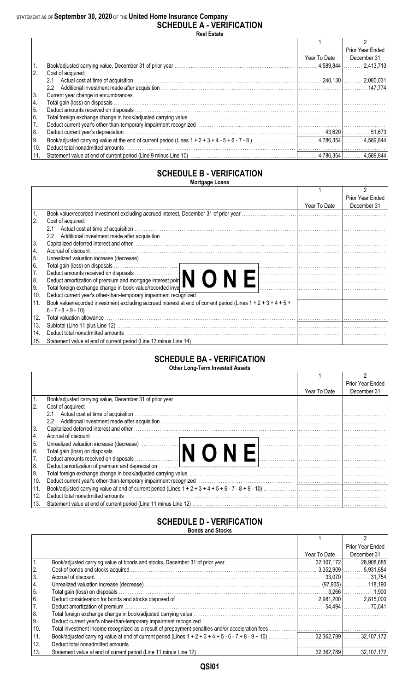## STATEMENT AS OF **September 30, 2020** OF THE **United Home Insurance Company SCHEDULE A - VERIFICATION**

**Real Estate**

|               |                                     |              | <b>Prior Year Ended</b> |
|---------------|-------------------------------------|--------------|-------------------------|
|               |                                     | Year To Date | December 31             |
|               |                                     |              |                         |
| <sup>2.</sup> | Cost of acquired:                   |              |                         |
|               | 2.1                                 |              |                         |
|               | $2.2^{\circ}$                       |              |                         |
| 3.            |                                     |              |                         |
| 4.            |                                     |              |                         |
| 5.            |                                     |              |                         |
| 6.            |                                     |              |                         |
| 17.           |                                     |              |                         |
| 8.            | Deduct current year's depreciation. |              |                         |
| l 9.          |                                     |              |                         |
| 10.           | Deduct total nonadmitted amounts    |              |                         |
|               |                                     |              | 4.589.844               |

#### **SCHEDULE B - VERIFICATION Mortgage Loans**

|     |                                                                                                                                                                    |              | <b>Prior Year Ended</b> |
|-----|--------------------------------------------------------------------------------------------------------------------------------------------------------------------|--------------|-------------------------|
|     |                                                                                                                                                                    | Year To Date | December 31             |
|     | Book value/recorded investment excluding accrued interest, December 31 of prior year.                                                                              |              |                         |
| 2.  | Cost of acquired:                                                                                                                                                  |              |                         |
|     |                                                                                                                                                                    |              |                         |
|     | $2.2^{\circ}$<br>Additional investment made after acquisition www.communication.communications.com/ www.fluxestment made after acquisition www.communications.com/ |              |                         |
| 3.  |                                                                                                                                                                    |              |                         |
| 4.  | Accrual of discount                                                                                                                                                |              |                         |
| 5.  |                                                                                                                                                                    |              |                         |
| 6.  | Total gain (loss) on disposals<br>Deduct amounts received on disposals<br>Deduct amortization of premium and mortgage interest poin                                |              |                         |
| 7.  |                                                                                                                                                                    |              |                         |
| 8.  |                                                                                                                                                                    |              |                         |
| 9.  | Total foreign exchange change in book value/recorded inve                                                                                                          |              |                         |
| 10. |                                                                                                                                                                    |              |                         |
| 11. | Book value/recorded investment excluding accrued interest at end of current period (Lines $1 + 2 + 3 + 4 + 5 + 1$ )                                                |              |                         |
|     |                                                                                                                                                                    |              |                         |
| 12. |                                                                                                                                                                    |              |                         |
| 13. |                                                                                                                                                                    |              |                         |
| 14. |                                                                                                                                                                    |              |                         |
| 15. |                                                                                                                                                                    |              |                         |

#### **SCHEDULE BA - VERIFICATION Other Long-Term Invested Assets**

|      |                                                                                                                                                                                                                                |              | Prior Year Ended |
|------|--------------------------------------------------------------------------------------------------------------------------------------------------------------------------------------------------------------------------------|--------------|------------------|
|      |                                                                                                                                                                                                                                | Year To Date | December 31      |
|      |                                                                                                                                                                                                                                |              |                  |
| 2.   | Cost of acquired:                                                                                                                                                                                                              |              |                  |
|      | Actual cost at time of acquisition<br>2.1                                                                                                                                                                                      |              |                  |
|      | $2.2^{\circ}$                                                                                                                                                                                                                  |              |                  |
| 3.   | Capitalized deferred interest and other with the contract of the control of the control of the control of the control of the control of the control of the control of the control of the control of the control of the control |              |                  |
| 14.  |                                                                                                                                                                                                                                |              |                  |
| 5.   |                                                                                                                                                                                                                                |              |                  |
| l 6. |                                                                                                                                                                                                                                |              |                  |
| 7.   |                                                                                                                                                                                                                                |              |                  |
| 8.   |                                                                                                                                                                                                                                |              |                  |
| I9.  |                                                                                                                                                                                                                                |              |                  |
| 10.  |                                                                                                                                                                                                                                |              |                  |
| 11.  |                                                                                                                                                                                                                                |              |                  |
| 12.  | Deduct total nonadmitted amounts                                                                                                                                                                                               |              |                  |
| 13.  |                                                                                                                                                                                                                                |              |                  |

#### **SCHEDULE D - VERIFICATION Bonds and Stocks**

|               | DUIIUS AIIU OLUUNS               |              |                  |
|---------------|----------------------------------|--------------|------------------|
|               |                                  |              |                  |
|               |                                  |              | Prior Year Ended |
|               |                                  | Year To Date | December 31      |
|               |                                  |              |                  |
| 2.            |                                  |              |                  |
| 3.            |                                  |              |                  |
| 4.            |                                  |              |                  |
| <sup>5.</sup> |                                  |              |                  |
| 6.            |                                  |              |                  |
| 7.            |                                  |              |                  |
| 8.            |                                  |              |                  |
| ∣9.           |                                  |              |                  |
| 10.           |                                  |              |                  |
| 11.           |                                  |              |                  |
| 12.           | Deduct total nonadmitted amounts |              |                  |
| 13.           |                                  |              |                  |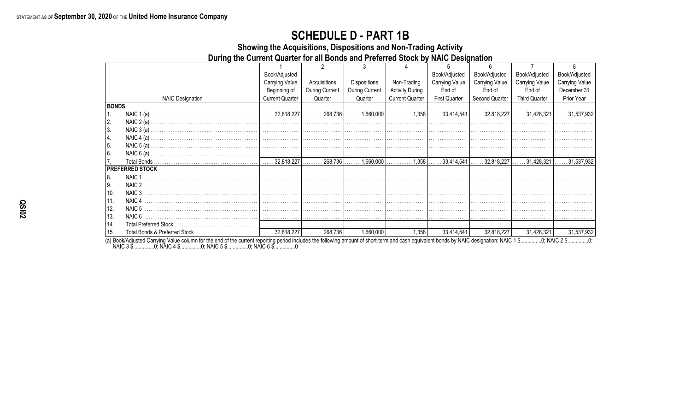## **SCHEDULE D - PART 1B**

Showing the Acquisitions, Dispositions and Non-Trading Activity

During the Current Quarter for all Bonds and Preferred Stock by NAIC Designation

|              |                         | Book/Adjusted          |                |                |                        | Book/Adjusted        | Book/Adjusted                                                                                           | Book/Adjusted         | Book/Adjusted         |
|--------------|-------------------------|------------------------|----------------|----------------|------------------------|----------------------|---------------------------------------------------------------------------------------------------------|-----------------------|-----------------------|
|              |                         | Carrying Value         | Acquisitions   | Dispositions   | Non-Trading            | Carrying Value       | Carrying Value                                                                                          | <b>Carrying Value</b> | <b>Carrying Value</b> |
|              |                         | Beginning of           | During Current | During Current | <b>Activity During</b> | End of               | End of                                                                                                  | End of                | December 31           |
|              | <b>NAIC Designation</b> | <b>Current Quarter</b> | Quarter        | Quarter        | <b>Current Quarter</b> | <b>First Quarter</b> | Second Quarter                                                                                          | <b>Third Quarter</b>  | Prior Year            |
| <b>BONDS</b> |                         |                        |                |                |                        |                      |                                                                                                         |                       |                       |
| 1.           |                         |                        |                |                |                        |                      | …………268,736  ……… 1,660,000  …………… 1,358  ……. 33,414,541  ……. 32,818,227  ……. 31,428,321  ……. 31,537,932 |                       |                       |
| 2.           |                         |                        |                |                |                        |                      |                                                                                                         |                       |                       |
| 3.           |                         |                        |                |                |                        |                      |                                                                                                         |                       |                       |
| 4.           |                         |                        |                |                |                        |                      |                                                                                                         |                       |                       |
| 5.           |                         |                        |                |                |                        |                      |                                                                                                         |                       |                       |
| 6.           |                         |                        |                |                |                        |                      |                                                                                                         |                       |                       |
|              |                         |                        |                |                |                        |                      |                                                                                                         |                       |                       |
|              | <b>PREFERRED STOCK</b>  |                        |                |                |                        |                      |                                                                                                         |                       |                       |
| 8.           | NAIC 1                  |                        |                |                |                        |                      |                                                                                                         |                       |                       |
| l 9.         | NAIC 2                  |                        |                |                |                        |                      |                                                                                                         |                       |                       |
| 10.          | NAIC 3                  |                        |                |                |                        |                      |                                                                                                         |                       |                       |
| 11.          |                         |                        |                |                |                        |                      |                                                                                                         |                       |                       |
| 12.          |                         |                        |                |                |                        |                      |                                                                                                         |                       |                       |
| 13.          |                         |                        |                |                |                        |                      |                                                                                                         |                       |                       |
| 14.          |                         |                        |                |                |                        |                      |                                                                                                         |                       |                       |
| 15.          |                         |                        |                |                |                        |                      |                                                                                                         |                       |                       |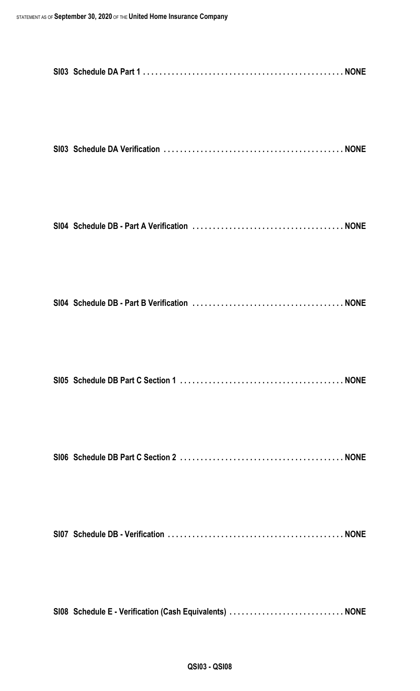| SI08 Schedule E - Verification (Cash Equivalents)  NONE |
|---------------------------------------------------------|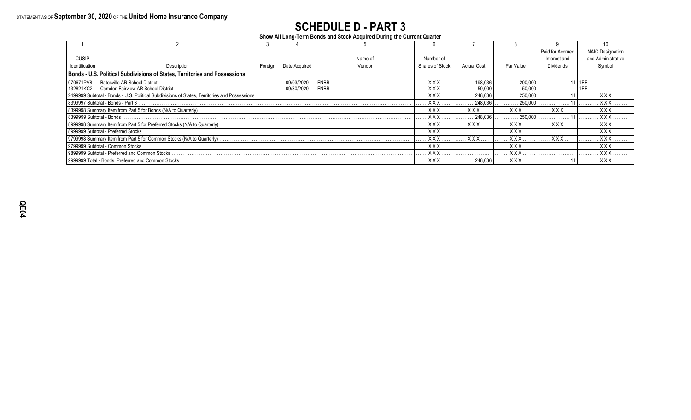# **SCHEDULE D - PART 3**

**Show All Long-Term Bonds and Stock Acquired During the Current Quarter**

|                          |                                                                                               |            |                               |             |                        |                    |            | Paid for Accrued | <b>NAIC Designation</b> |
|--------------------------|-----------------------------------------------------------------------------------------------|------------|-------------------------------|-------------|------------------------|--------------------|------------|------------------|-------------------------|
| <b>CUSIP</b>             |                                                                                               |            |                               | Name of     | Number of              |                    |            | Interest and     | and Administrative      |
| Identification           | Description                                                                                   | Foreign    | Date Acquired                 | Vendor      | <b>Shares of Stock</b> | <b>Actual Cost</b> | Par Value  | <b>Dividends</b> | Symbol                  |
|                          | Bonds - U.S. Political Subdivisions of States, Territories and Possessions                    |            |                               |             |                        |                    |            |                  |                         |
| 070671PV8.               | Batesville AR School District                                                                 |            | 09/03/2020                    | <b>FNBB</b> | X X                    | 198.036            | 200.000    |                  |                         |
| 132821KC2.               |                                                                                               |            | $\left  \right.$ . 09/30/2020 | FNBB        | <b>XXX</b>             | 50.000             | 50.000     |                  |                         |
|                          | 2499999 Subtotal - Bonds - U.S. Political Subdivisions of States, Territories and Possessions | <b>XXX</b> | 248.036                       | 250,000     |                        |                    |            |                  |                         |
|                          | 8399997 Subtotal - Bonds - Part 3                                                             |            |                               |             | <b>XXX</b>             | 248.036            | 250.000    |                  | <b>XXX</b>              |
|                          |                                                                                               |            |                               |             | <b>XXX</b>             | <b>XXX</b>         | <b>XXX</b> | <b>XXX</b>       | <b>XXX</b>              |
| 8399999 Subtotal - Bonds |                                                                                               |            |                               |             | <b>XXX</b>             | 248.036            | 250,000    |                  | <b>XXX</b>              |
|                          |                                                                                               |            |                               |             | <b>XXX</b>             | XXX.               | <b>XXX</b> | <b>XXX</b>       | <b>XXX</b>              |
|                          | 8999999 Subtotal - Preferred Stocks                                                           |            |                               |             | <b>XXX</b>             |                    | <b>XXX</b> |                  | <b>XXX</b>              |
|                          | 9799998 Summary Item from Part 5 for Common Stocks (N/A to Quarterly).                        |            |                               |             | <b>XXX</b>             | <b>XXX</b>         | <b>XXX</b> | <b>XXX</b>       | <b>XXX</b>              |
|                          | 9799999 Subtotal - Common Stocks                                                              |            |                               |             | <b>XXX</b>             |                    | <b>XXX</b> |                  | <b>XXX</b>              |
|                          | 9899999 Subtotal - Preferred and Common Stocks                                                | <b>XXX</b> |                               | <b>XXX</b>  |                        | <b>XXX</b>         |            |                  |                         |
|                          | 9999999 Total - Bonds, Preferred and Common Stocks                                            |            |                               |             | <b>XXX</b>             | 248.036            | XXX        |                  | XXX                     |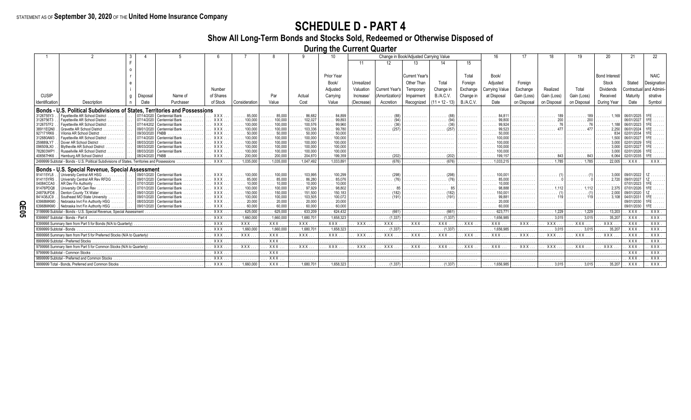## **SCHEDULE D - PART 4**

**Show All Long-Term Bonds and Stocks Sold, Redeemed or Otherwise Disposed of**

**During the Current Quarter**

|                          |                                                                        |                          |                             |            |                        |                    |                    |                   |            |                               | Change in Book/Adjusted Carrying Value |                         |           |                           |             |                       | 19                    |                       |             |            |
|--------------------------|------------------------------------------------------------------------|--------------------------|-----------------------------|------------|------------------------|--------------------|--------------------|-------------------|------------|-------------------------------|----------------------------------------|-------------------------|-----------|---------------------------|-------------|-----------------------|-----------------------|-----------------------|-------------|------------|
|                          |                                                                        |                          |                             |            |                        |                    |                    |                   | 11         |                               | 13                                     |                         | 15        |                           |             |                       |                       |                       |             |            |
|                          |                                                                        |                          |                             |            |                        |                    |                    |                   |            |                               |                                        |                         |           |                           |             |                       |                       |                       |             |            |
|                          |                                                                        |                          |                             |            |                        |                    |                    | Prior Year        |            |                               | <b>Current Year's</b>                  |                         | Total     | Book/                     |             |                       |                       | <b>Bond Interest</b>  |             | NAIC       |
|                          |                                                                        |                          |                             |            |                        |                    |                    | Book/             | Unrealized |                               | Other Than                             | Total                   | Foreign   | Adjusted                  | Foreign     |                       |                       | Stock                 | Stated      | Designatio |
|                          |                                                                        |                          |                             | Number     |                        |                    |                    | Adiusted          | Valuation  | <b>Current Year's</b>         | Temporary                              | Change in               | Exchange  | <b>Carrying Value</b>     | Exchange    | Realized              | Total                 | <b>Dividends</b>      | Contractual | and Admir  |
| <b>CUSIP</b>             |                                                                        | Disposal                 | Name of                     | of Shares  |                        | Par                | Actual             | Carrying          | Increase/  | (Amortization)                | Impairment                             | <b>B./A.C.V.</b>        | Change in | at Disposal               | Gain (Loss) | Gain (Loss)           | Gain (Loss)           | Received              | Maturity    | strative   |
| Identification           | Description                                                            | Date                     | Purchaser                   | of Stock   | l Consideration        | Value              | Cost               | Value             | (Decrease) | Accretion                     | Recognized                             | $(11 + 12 - 13)$        | B.A.C.V.  | Date                      | on Disposal | on Disposal           | on Disposal           | During Year           | Date        | Symbol     |
| ∣ Bonds - U              | . Political Subdivisions of States. Territories and Possessions<br>.S. |                          |                             |            |                        |                    |                    |                   |            |                               |                                        |                         |           |                           |             |                       |                       |                       |             |            |
| 3126755Y3                | Favetteville AR School District                                        |                          | 07/14/2020 Centennial Bank  | XXX.       | $\ldots \ldots 85,000$ | 85,000             | . 86.682           | . 84.899          | .          | .                             |                                        | .                       |           | 84.811                    |             |                       |                       |                       | 06/01/2025  |            |
| 3126756T3                | Favetteville AR School District                                        | 07/14/2020               | Centennial Bank             |            | 100.000                | 100.000            | 102.027            | 99.893            |            |                               |                                        |                         |           | 99,800                    |             | 200                   |                       |                       | 06/01/2027  |            |
| 3126757F2                | Fayetteville AR School District                                        | 07/14/4202               | <b>Centennial Bank</b>      |            | 100,000                | 100,000            | 100.576            | 99.960            |            |                               |                                        |                         |           |                           |             |                       |                       |                       |             |            |
| 38911EQN0<br>927171RK6   | Gravette AR School District                                            | 09/01/2020<br>09/30/2020 |                             |            | 100,000<br>50,000      | 100.000<br>50,000  | 103.336<br>50,000  | 50,000            |            | (257)                         |                                        |                         |           |                           |             |                       |                       |                       |             |            |
| 312680AM3                | Vilonia AR School District<br>Favetteville AR School District          | 07/14/2020               |                             |            | 100,000                | 100,000            | 100,000            |                   |            | .<br>.                        |                                        | .<br>.                  |           |                           |             |                       |                       |                       |             |            |
| 259889LY7                | Dover AR School District                                               | 08/03/2020               |                             |            | 100,000                | 100,000            | 100,000            |                   |            | .                             |                                        | .                       |           |                           |             |                       |                       |                       |             |            |
| 096509LX0                | <b>Blytheville AR School Distric</b>                                   | 08/03/2020               |                             |            | 100,000                | 100.000            | 100,000            |                   |            | .                             |                                        | .                       |           |                           |             |                       |                       | 3.000                 |             |            |
| 782803WP1                | Russellville AR School Distric                                         | 08/03/2020               | <b>Centennial Bank</b>      | <b>XXX</b> | 100,000                | 100,000            | 100.000            |                   |            | .                             |                                        | .                       |           | 100,000                   |             |                       |                       | 3.000                 | 02/01/2026  |            |
| 406567HK6                | Hamburg AR School District                                             | 08/24/2020               | FNBB                        | XXX.       | $\ldots$ . 200,000     | 200.000            | 204,870            | 199.359           | .          | $\ldots \ldots$ (202)         | .                                      | (202)<br>.              |           | 199.157                   | .           | . 843                 | . 843                 | $\ldots \ldots 6,064$ | 02/01/2035  |            |
| 2499999 Subtotal         | - Bonds - U.S. Political Subdivisions of States                        |                          | Territories and Possessions | $XXX$ .    | 1.035.000              | 1.035.000          | 1.047.492          | 1,033,891         | .          | $\ldots \ldots \ldots (676)$  | .                                      | $\ldots \ldots (676)$   | .         | 1.033.215                 | .           | $\ldots \ldots 1,785$ | $\ldots \ldots 1,785$ | .22,005               | . XXX       | <b>XXX</b> |
| ⊤Bonds - Ų               | J.S. Special Revenue. Special Assessment                               |                          |                             |            |                        |                    |                    |                   |            |                               |                                        |                         |           |                           |             |                       |                       |                       |             |            |
| 914115YL8                | University Central AR HSG                                              | 09/01/2020               | Centennial Bank             |            | 100,000                | 100.000            | $\ldots$ 103.995   | 100.299           | .          |                               |                                        |                         |           |                           |             |                       |                       |                       | 09/01/2022  |            |
| 914115YR5                | University Central AR Rev RFI                                          | 09/01/2020               | <b>Centennial Bank</b>      | <b>XXX</b> | 85,000<br>1.1.1.1      | 85,000             | 86,280             |                   |            | $\ldots \ldots$ (76)          |                                        | .                       |           |                           |             |                       |                       |                       |             |            |
| 04084CCA0                | AR Dev Fin Authority                                                   | 07/01/2020               | Centennial Bank             |            | 10,000                 | 10,000             | 10,000             | 10.000            |            |                               |                                        |                         |           | 10.000                    |             |                       |                       |                       | 07/01/2023  |            |
| 91476PDQ8                | University OK Gen Rev                                                  | 07/01/2020               | Centennial Rank             | <b>XXX</b> | 100,000                | 100,000            | 97.929             | 98,802<br>150.183 |            | .                             |                                        | .                       |           |                           |             |                       |                       |                       |             |            |
| 24879UFD8<br>841438JC9   | Denton County TX Water<br>Southeast MO State University                | 09/01/2020<br>09/01/2020 | Centennial Bank             |            | 150,000<br>100,000     | 150,000<br>100,000 | 151,500<br>103,505 | 100.072           |            | 182)<br>$\ldots \ldots$ (191) |                                        |                         |           |                           |             |                       |                       | 3.108                 |             |            |
| 63968MKM0                | Nebraska Invt Fin Authority HSG                                        | 08/03/2020               | Centennial Bank             |            | 20,000                 | 20,000             | 20,000             | 20,000            |            | .                             |                                        | .<br>.                  |           |                           |             |                       |                       |                       | 09/01/2030  |            |
| 63968MKM0                | Nebraska Invt Fin Authority HSG                                        | 09/01/2020               | Centennial Bank             | <b>XXX</b> | 60,000                 | 60,000             | 60,000             | 60,000            |            | .                             | .                                      | .                       |           | 60,000                    |             | .                     |                       | .                     | 09/01/2030  |            |
|                          | 3199999 Subtotal - Bonds - U.S. Special Revenue, Special Assessment    |                          |                             | <b>XXX</b> | 625.000                | 625.000            | 633.209            | 624.432           |            | $\ldots \ldots$ (661)         |                                        | (661<br>.               |           | 623.77                    |             | 1.229                 | 1.229                 | $\ldots$ 13.203       | . XXX       | XXX.       |
|                          | 8399997 Subtotal - Bonds - Part 4                                      |                          |                             | XXX.       | 1,660,000              | 1.660.000          | 1,680,701          | 1.658.323         | .          | $\ldots$ . (1,337)            | .                                      | $\ldots \ldots$ (1,337) | .         | $\ldots \ldots 1,656,985$ | .           | $\ldots \ldots 3,015$ | 3.015                 | $\ldots$ . 35,207     | XXX         | XXX.       |
|                          | 8399998 Summary Item from Part 5 for Bonds (N/A to Quarter             |                          |                             | <b>XXX</b> | XXX                    | <b>XXX</b>         | XXX                | XXX               | <b>XXX</b> | . XXX.                        | XXX                                    | $\overline{X}$ x x x    | . XXX     | <b>XXX</b>                | . XXX       | <b>XXX</b>            | . XXX                 | . XXX                 | XXX         | XXX        |
| 8399999 Subtotal - Bonds |                                                                        |                          |                             | <b>XXX</b> | 1,660,000              | $\ldots$ 1,660,000 | 1,680,701          | . 1,658,323       | .          | $\ldots \ldots (1,337)$       | .                                      | $\ldots \ldots (1,337)$ | .         | $\ldots \ldots 1.656.985$ | .           | . 3,015               | $\ldots \ldots 3,015$ | $\ldots$ 35,207       | XXX         | XXX.       |
|                          | 8999998 Summary Item from Part 5 for Preferred Stocks (N/A to Quarter) |                          |                             | <b>XXX</b> | <b>XXX</b>             | <b>XXX</b>         | XXX                | XXX               | <b>XXX</b> | . XXX.                        | <b>XXX</b>                             | XXX.                    | . XXX     | <b>XXX</b>                | . XXX       | XXX                   | XXX                   | . XXX                 | XXX         | XXX        |
|                          | 8999999 Subtotal - Preferred Stocks                                    |                          |                             | <b>XXX</b> | .                      | $\overline{XXX}$   | .                  | .                 | .          | .                             | .                                      | .                       | .         | .                         | .           | .                     | .                     | .                     | XXX         | XXX        |
|                          | 9799998 Summary Item from Part 5 for Common Stocks (N/A to Quarterly)  |                          |                             | <b>XXX</b> | XXX                    | XXX                | $\ldots$ XXX       | <b>XXX</b>        | <b>XXX</b> | $\boldsymbol{\mathsf{XXX}}$ . | XXX                                    | XXX                     | . XXX     | <b>XXX</b>                | XXX         | <b>XXX</b>            | $\ldots$ XXX          | . XXX.                | XXX.        | XXX.       |
|                          | 9799999 Subtotal - Common Stocks                                       |                          |                             | <b>XXX</b> | .                      | XXX                | .                  | .                 | .          | .                             | .                                      | .                       | .         | .                         | .           | .                     | .                     | .                     | XXX         | <b>XXX</b> |
|                          | 9899999 Subtotal - Preferred and Common Stocks                         |                          |                             | <b>XXX</b> |                        | $\overline{XXX}$   |                    |                   |            | .                             |                                        | .                       |           | .                         | .           |                       |                       | .                     | XXX.        | XXX.       |
|                          | 9999999 Total - Bonds, Preferred and Common Stocks                     |                          |                             | XXX        | 1.660.000              | XXX                | 1,680,701          | 1.658.323         |            | $\ldots$ (1,337)              |                                        | $\ldots$ (1,337)        |           | $\ldots \ldots 1,656,985$ |             |                       | $\ldots \ldots 3,015$ | $\ldots$ . 35,20      | XXX.        | XXX.       |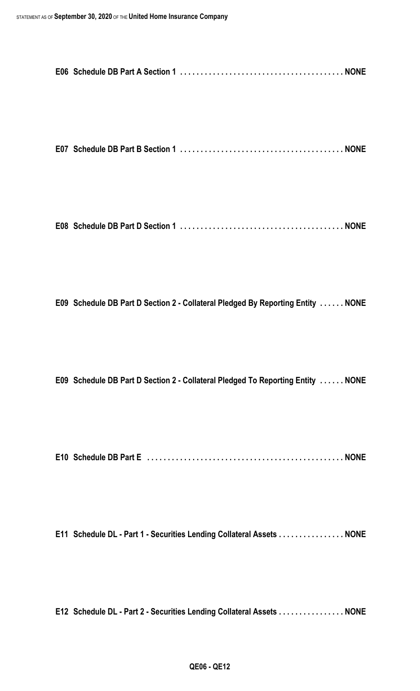**E07 Schedule DB Part B Section 1 . . . . . . . . . . . . . . . . . . . . . . . . . . . . . . . . . . . . . . . . NONE**

**E08 Schedule DB Part D Section 1 . . . . . . . . . . . . . . . . . . . . . . . . . . . . . . . . . . . . . . . . NONE**

**E09 Schedule DB Part D Section 2 - Collateral Pledged By Reporting Entity . . . . . . NONE**

**E09 Schedule DB Part D Section 2 - Collateral Pledged To Reporting Entity . . . . . . NONE**

**E10 Schedule DB Part E . . . . . . . . . . . . . . . . . . . . . . . . . . . . . . . . . . . . . . . . . . . . . . . . NONE**

**E11 Schedule DL - Part 1 - Securities Lending Collateral Assets . . . . . . . . . . . . . . . . NONE**

**E12 Schedule DL - Part 2 - Securities Lending Collateral Assets . . . . . . . . . . . . . . . . NONE**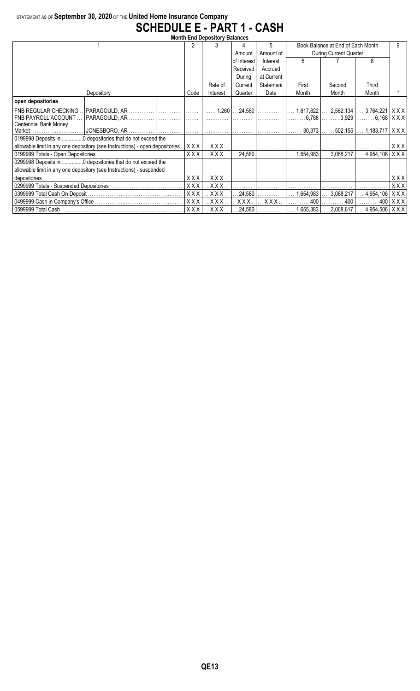## STATEMENT AS OF **September 30, 2020** OF THE **United Home Insurance Company SCHEDULE E - PART 1 - CASH**

| <b>Month End Depository Balances</b>                                         |            |                               |             |            |               |                                                                                           |                                 |                           |  |  |  |  |
|------------------------------------------------------------------------------|------------|-------------------------------|-------------|------------|---------------|-------------------------------------------------------------------------------------------|---------------------------------|---------------------------|--|--|--|--|
|                                                                              | 2          |                               |             | 5.         |               | Book Balance at End of Each Month                                                         |                                 | 9.                        |  |  |  |  |
|                                                                              |            |                               | Amount      | Amount of  |               | During Current Quarter                                                                    |                                 |                           |  |  |  |  |
|                                                                              |            |                               | of Interest | Interest   | 6             |                                                                                           | 8                               |                           |  |  |  |  |
|                                                                              |            |                               | Received    | Accrued    |               |                                                                                           |                                 |                           |  |  |  |  |
|                                                                              |            |                               | During      | at Current |               |                                                                                           |                                 |                           |  |  |  |  |
|                                                                              |            | Rate of                       | Current     | Statement  | First         | Second                                                                                    | Third                           |                           |  |  |  |  |
| Depository                                                                   | Code       | Interest                      | Quarter     | Date       | Month         | Month                                                                                     | Month                           |                           |  |  |  |  |
| open depositories                                                            |            |                               |             |            |               |                                                                                           |                                 |                           |  |  |  |  |
| FNB REGULAR CHECKING                                                         |            |                               |             |            |               | $\dots$ 24,580 $ \dots$ 1,617,822 $ \dots$ 2,562,134 $ \dots$ 3,764,221 $ \,$ X X X $ \,$ |                                 |                           |  |  |  |  |
| <b>FNB PAYROLL ACCOUNT</b>                                                   |            |                               |             |            | $\vert$ 6,788 |                                                                                           |                                 |                           |  |  |  |  |
| <b>Centennial Bank Money</b>                                                 |            |                               |             |            |               |                                                                                           |                                 |                           |  |  |  |  |
|                                                                              |            |                               |             |            | $30,373$      | . 502,155                                                                                 | $1,183,717$ $\times$ X X        |                           |  |  |  |  |
| 0199998 Deposits in  0 depositories that do not exceed the                   |            |                               |             |            |               |                                                                                           |                                 |                           |  |  |  |  |
| allowable limit in any one depository (see Instructions) - open depositories |            |                               |             |            |               |                                                                                           |                                 | XXX                       |  |  |  |  |
|                                                                              |            | $XXX$ $\ldots$ $XXX$ $\ldots$ |             |            |               | . 24,580   1,654,983   3,068,217                                                          | $4,954,106$ $\mid$ X X X $\mid$ |                           |  |  |  |  |
| 0299998 Deposits in 0 depositories that do not exceed the                    |            |                               |             |            |               |                                                                                           |                                 |                           |  |  |  |  |
| allowable limit in any one depository (see Instructions) - suspended         |            |                               |             |            |               |                                                                                           |                                 |                           |  |  |  |  |
|                                                                              | XXX        | XXX.                          | . 1         |            |               |                                                                                           |                                 | XXX                       |  |  |  |  |
|                                                                              | XXX        | XXX.                          | .           |            | .             |                                                                                           |                                 | XXX                       |  |  |  |  |
|                                                                              | <b>XXX</b> | XXX.                          |             | $24,580$   | .             | $1,654,983$ $3,068,217$                                                                   | 4,954,106   X X X               |                           |  |  |  |  |
|                                                                              | <b>XXX</b> | XXX.                          | XXX.        | $XXX$      | 400           | 400                                                                                       |                                 | $400$ $\mid$ X X X $\mid$ |  |  |  |  |
|                                                                              | <b>XXX</b> | XXX.                          | 24,580      | .          | 1,655,383     | $3,068,617$                                                                               | 4,954,506   $X$ X X             |                           |  |  |  |  |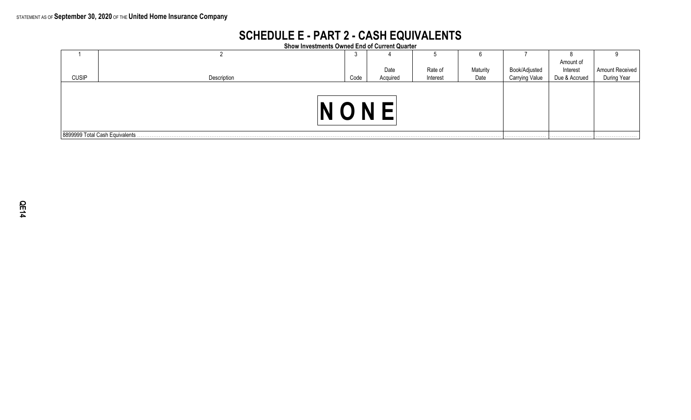## **SCHEDULE E - PART 2 - CASH EQUIVALENTS**

**Show Investments Owned End of Current Quarter**

|              |                                 | ر.   |          |          |          |                |               |                 |  |  |  |
|--------------|---------------------------------|------|----------|----------|----------|----------------|---------------|-----------------|--|--|--|
|              |                                 |      |          |          |          |                | Amount of     |                 |  |  |  |
|              |                                 |      | Date     | Rate of  | Maturity | Book/Adjusted  | Interest      | Amount Received |  |  |  |
| <b>CUSIP</b> | Description                     | Code | Acquired | Interest | Date     | Carrying Value | Due & Accrued | During Year     |  |  |  |
|              |                                 |      |          |          |          |                |               |                 |  |  |  |
|              | 8899999 Total Cash Equivalents. |      |          |          |          |                |               |                 |  |  |  |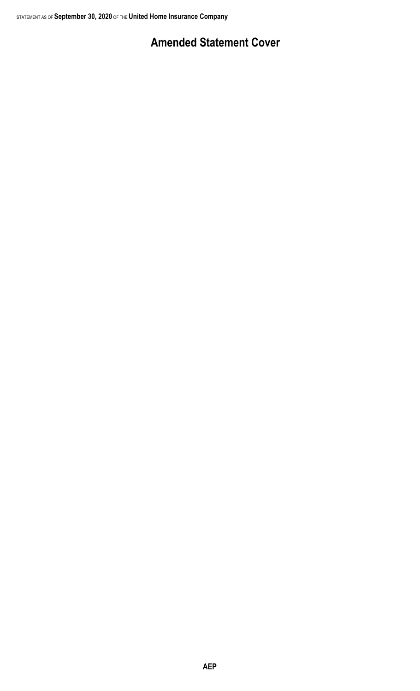# **Amended Statement Cover**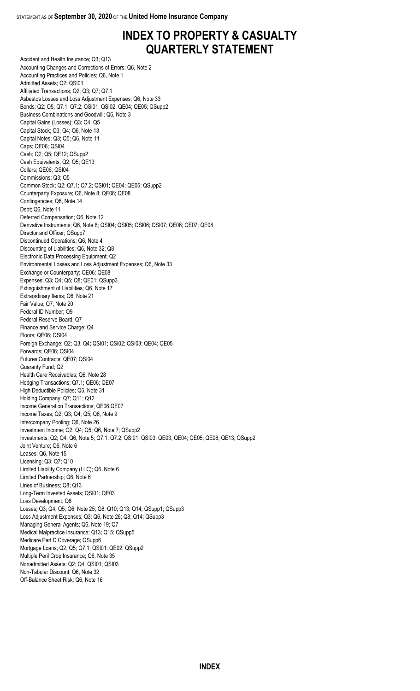## **INDEX TO PROPERTY & CASUALTY QUARTERLY STATEMENT**

Accident and Health Insurance; Q3; Q13 Accounting Changes and Corrections of Errors; Q6, Note 2 Accounting Practices and Policies; Q6, Note 1 Admitted Assets; Q2; QSI01 Affiliated Transactions; Q2; Q3; Q7; Q7.1 Asbestos Losses and Loss Adjustment Expenses; Q6, Note 33 Bonds; Q2; Q5; Q7.1; Q7.2; QSI01; QSI02; QE04; QE05; QSupp2 Business Combinations and Goodwill; Q6, Note 3 Capital Gains (Losses); Q3; Q4; Q5 Capital Stock; Q3; Q4; Q6, Note 13 Capital Notes; Q3; Q5; Q6, Note 11 Caps; QE06; QSI04 Cash; Q2; Q5; QE12; QSupp2 Cash Equivalents; Q2; Q5; QE13 Collars; QE06; QSI04 Commissions; Q3; Q5 Common Stock; Q2; Q7.1; Q7.2; QSI01; QE04; QE05; QSupp2 Counterparty Exposure; Q6, Note 8; QE06; QE08 Contingencies; Q6, Note 14 Debt; Q6, Note 11 Deferred Compensation; Q6, Note 12 Derivative Instruments; Q6, Note 8; QSI04; QSI05; QSI06; QSI07; QE06; QE07; QE08 Director and Officer; QSupp7 Discontinued Operations; Q6, Note 4 Discounting of Liabilities; Q6, Note 32; Q8 Electronic Data Processing Equipment; Q2 Environmental Losses and Loss Adjustment Expenses; Q6, Note 33 Exchange or Counterparty; QE06; QE08 Expenses; Q3; Q4; Q5; Q8; QE01; QSupp3 Extinguishment of Liabilities; Q6, Note 17 Extraordinary Items; Q6, Note 21 Fair Value; Q7, Note 20 Federal ID Number; Q9 Federal Reserve Board; Q7 Finance and Service Charge; Q4 Floors; QE06; QSI04 Foreign Exchange; Q2; Q3; Q4; QSI01; QSI02; QSI03; QE04; QE05 Forwards; QE06; QSI04 Futures Contracts; QE07; QSI04 Guaranty Fund; Q2 Health Care Receivables; Q6, Note 28 Hedging Transactions; Q7.1; QE06; QE07 High Deductible Policies; Q6, Note 31 Holding Company; Q7; Q11; Q12 Income Generation Transactions; QE06;QE07 Income Taxes; Q2; Q3; Q4; Q5; Q6, Note 9 Intercompany Pooling; Q6, Note 26 Investment Income; Q2; Q4; Q5; Q6, Note 7; QSupp2 Investments; Q2; Q4; Q6, Note 5; Q7.1; Q7.2; QSI01; QSI03; QE03; QE04; QE05; QE08; QE13; QSupp2 Joint Venture; Q6, Note 6 Leases; Q6, Note 15 Licensing; Q3; Q7; Q10 Limited Liability Company (LLC); Q6, Note 6 Limited Partnership; Q6, Note 6 Lines of Business; Q8; Q13 Long-Term Invested Assets; QSI01; QE03 Loss Development; Q6 Losses; Q3; Q4; Q5; Q6, Note 25; Q8; Q10; Q13; Q14; QSupp1; QSupp3 Loss Adjustment Expenses; Q3; Q6, Note 26; Q8; Q14; QSupp3 Managing General Agents; Q6, Note 19; Q7 Medical Malpractice Insurance; Q13; Q15; QSupp5 Medicare Part D Coverage; QSupp6 Mortgage Loans; Q2; Q5; Q7.1; QSI01; QE02; QSupp2 Multiple Peril Crop Insurance; Q6, Note 35 Nonadmitted Assets; Q2; Q4; QSI01; QSI03 Non-Tabular Discount; Q6, Note 32 Off-Balance Sheet Risk; Q6, Note 16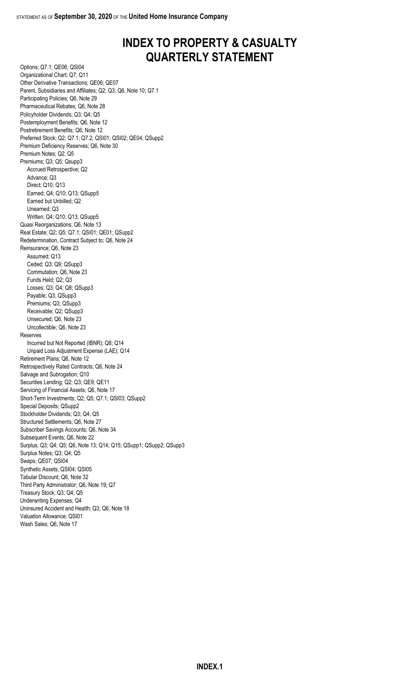## **INDEX TO PROPERTY & CASUALTY QUARTERLY STATEMENT**

Options; Q7.1; QE06; QSI04 Organizational Chart; Q7; Q11 Other Derivative Transactions; QE06; QE07 Parent, Subsidiaries and Affiliates; Q2; Q3; Q6, Note 10; Q7.1 Participating Policies; Q6, Note 29 Pharmaceutical Rebates; Q6, Note 28 Policyholder Dividends; Q3; Q4; Q5 Postemployment Benefits; Q6, Note 12 Postretirement Benefits; Q6, Note 12 Preferred Stock; Q2; Q7.1; Q7.2; QSI01; QSI02; QE04; QSupp2 Premium Deficiency Reserves; Q6, Note 30 Premium Notes; Q2; Q5 Premiums; Q3; Q5; Qsupp3 Accrued Retrospective; Q2 Advance; Q3 Direct; Q10; Q13 Earned; Q4; Q10; Q13; QSupp5 Earned but Unbilled; Q2 Unearned; Q3 Written; Q4; Q10; Q13; QSupp5 Quasi Reorganizations; Q6, Note 13 Real Estate; Q2; Q5; Q7.1; QSI01; QE01; QSupp2 Redetermination, Contract Subject to; Q6, Note 24 Reinsurance; Q6, Note 23 Assumed; Q13 Ceded; Q3; Q9; QSupp3 Commutation; Q6, Note 23 Funds Held; Q2; Q3 Losses; Q3; Q4; Q8; QSupp3 Payable; Q3; QSupp3 Premiums; Q3; QSupp3 Receivable; Q2; QSupp3 Unsecured; Q6, Note 23 Uncollectible; Q6, Note 23 Reserves Incurred but Not Reported (IBNR); Q8; Q14 Unpaid Loss Adjustment Expense (LAE); Q14 Retirement Plans; Q6, Note 12 Retrospectively Rated Contracts; Q6, Note 24 Salvage and Subrogation; Q10 Securities Lending; Q2; Q3; QE9; QE11 Servicing of Financial Assets; Q6, Note 17 Short-Term Investments; Q2; Q5; Q7.1; QSI03; QSupp2 Special Deposits; QSupp2 Stockholder Dividends; Q3; Q4; Q5 Structured Settlements; Q6, Note 27 Subscriber Savings Accounts; Q6, Note 34 Subsequent Events; Q6, Note 22 Surplus; Q3; Q4; Q5; Q6, Note 13; Q14; Q15; QSupp1; QSupp2; QSupp3 Surplus Notes; Q3; Q4; Q5 Swaps; QE07; QSI04 Synthetic Assets; QSI04; QSI05 Tabular Discount; Q6, Note 32 Third Party Administrator; Q6, Note 19; Q7 Treasury Stock; Q3; Q4; Q5 Underwriting Expenses; Q4 Uninsured Accident and Health; Q3; Q6, Note 18 Valuation Allowance; QSI01 Wash Sales; Q6, Note 17